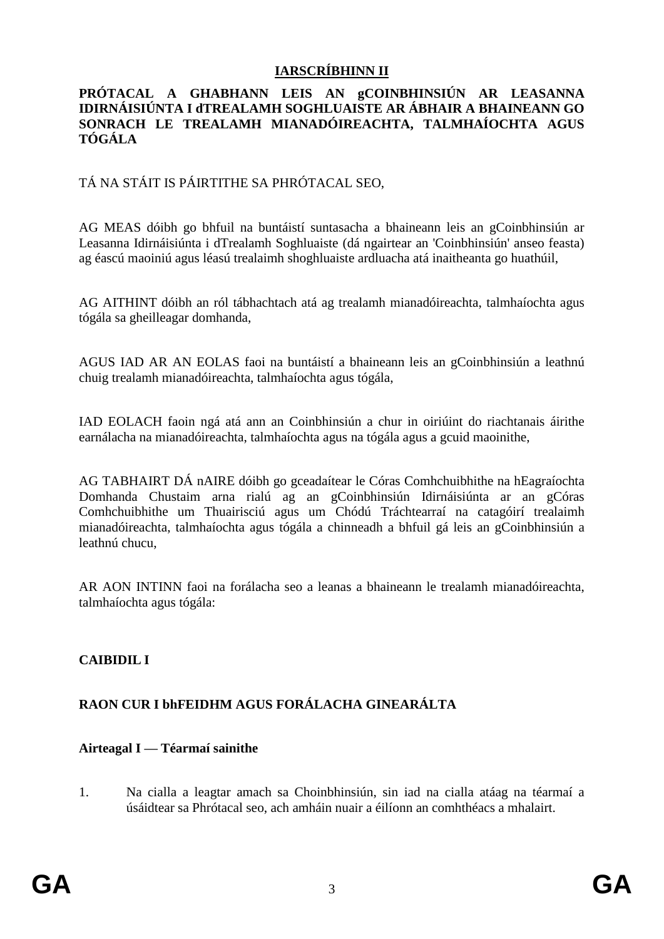## **IARSCRÍBHINN II**

#### **PRÓTACAL A GHABHANN LEIS AN gCOINBHINSIÚN AR LEASANNA IDIRNÁISIÚNTA I dTREALAMH SOGHLUAISTE AR ÁBHAIR A BHAINEANN GO SONRACH LE TREALAMH MIANADÓIREACHTA, TALMHAÍOCHTA AGUS TÓGÁLA**

## TÁ NA STÁIT IS PÁIRTITHE SA PHRÓTACAL SEO,

AG MEAS dóibh go bhfuil na buntáistí suntasacha a bhaineann leis an gCoinbhinsiún ar Leasanna Idirnáisiúnta i dTrealamh Soghluaiste (dá ngairtear an 'Coinbhinsiún' anseo feasta) ag éascú maoiniú agus léasú trealaimh shoghluaiste ardluacha atá inaitheanta go huathúil,

AG AITHINT dóibh an ról tábhachtach atá ag trealamh mianadóireachta, talmhaíochta agus tógála sa gheilleagar domhanda,

AGUS IAD AR AN EOLAS faoi na buntáistí a bhaineann leis an gCoinbhinsiún a leathnú chuig trealamh mianadóireachta, talmhaíochta agus tógála,

IAD EOLACH faoin ngá atá ann an Coinbhinsiún a chur in oiriúint do riachtanais áirithe earnálacha na mianadóireachta, talmhaíochta agus na tógála agus a gcuid maoinithe,

AG TABHAIRT DÁ nAIRE dóibh go gceadaítear le Córas Comhchuibhithe na hEagraíochta Domhanda Chustaim arna rialú ag an gCoinbhinsiún Idirnáisiúnta ar an gCóras Comhchuibhithe um Thuairisciú agus um Chódú Tráchtearraí na catagóirí trealaimh mianadóireachta, talmhaíochta agus tógála a chinneadh a bhfuil gá leis an gCoinbhinsiún a leathnú chucu,

AR AON INTINN faoi na forálacha seo a leanas a bhaineann le trealamh mianadóireachta, talmhaíochta agus tógála:

## **CAIBIDIL I**

# **RAON CUR I bhFEIDHM AGUS FORÁLACHA GINEARÁLTA**

## **Airteagal I — Téarmaí sainithe**

1. Na cialla a leagtar amach sa Choinbhinsiún, sin iad na cialla atáag na téarmaí a úsáidtear sa Phrótacal seo, ach amháin nuair a éilíonn an comhthéacs a mhalairt.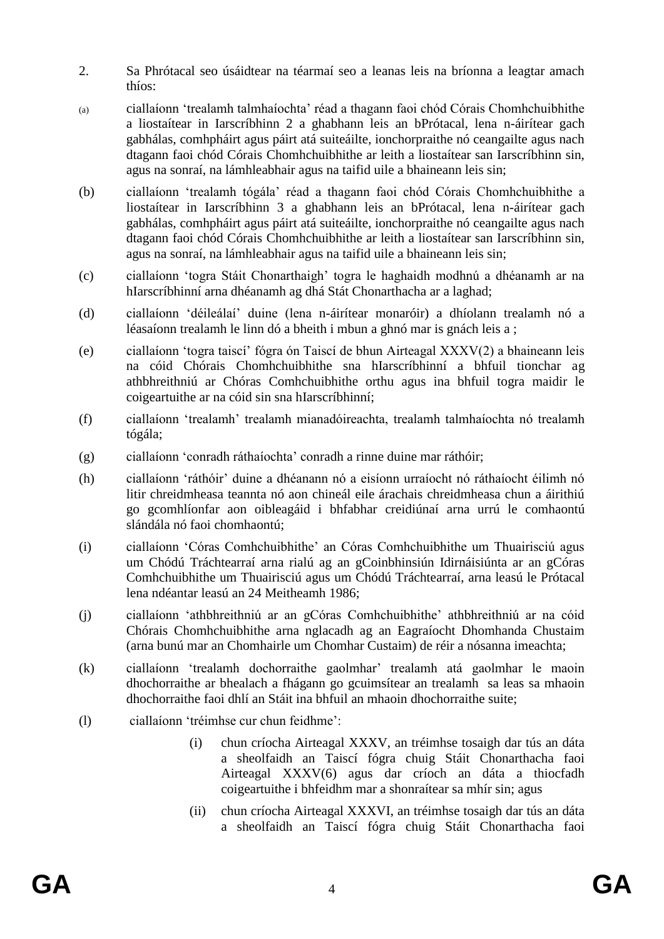- 2. Sa Phrótacal seo úsáidtear na téarmaí seo a leanas leis na bríonna a leagtar amach thíos:
- (a) ciallaíonn 'trealamh talmhaíochta' réad a thagann faoi chód Córais Chomhchuibhithe a liostaítear in Iarscríbhinn 2 a ghabhann leis an bPrótacal, lena n-áirítear gach gabhálas, comhpháirt agus páirt atá suiteáilte, ionchorpraithe nó ceangailte agus nach dtagann faoi chód Córais Chomhchuibhithe ar leith a liostaítear san Iarscríbhinn sin, agus na sonraí, na lámhleabhair agus na taifid uile a bhaineann leis sin;
- (b) ciallaíonn 'trealamh tógála' réad a thagann faoi chód Córais Chomhchuibhithe a liostaítear in Iarscríbhinn 3 a ghabhann leis an bPrótacal, lena n-áirítear gach gabhálas, comhpháirt agus páirt atá suiteáilte, ionchorpraithe nó ceangailte agus nach dtagann faoi chód Córais Chomhchuibhithe ar leith a liostaítear san Iarscríbhinn sin, agus na sonraí, na lámhleabhair agus na taifid uile a bhaineann leis sin;
- (c) ciallaíonn 'togra Stáit Chonarthaigh' togra le haghaidh modhnú a dhéanamh ar na hIarscríbhinní arna dhéanamh ag dhá Stát Chonarthacha ar a laghad;
- (d) ciallaíonn 'déileálaí' duine (lena n-áirítear monaróir) a dhíolann trealamh nó a léasaíonn trealamh le linn dó a bheith i mbun a ghnó mar is gnách leis a ;
- (e) ciallaíonn 'togra taiscí' fógra ón Taiscí de bhun Airteagal XXXV(2) a bhaineann leis na cóid Chórais Chomhchuibhithe sna hIarscríbhinní a bhfuil tionchar ag athbhreithniú ar Chóras Comhchuibhithe orthu agus ina bhfuil togra maidir le coigeartuithe ar na cóid sin sna hIarscríbhinní;
- (f) ciallaíonn 'trealamh' trealamh mianadóireachta, trealamh talmhaíochta nó trealamh tógála;
- (g) ciallaíonn 'conradh ráthaíochta' conradh a rinne duine mar ráthóir;
- (h) ciallaíonn 'ráthóir' duine a dhéanann nó a eisíonn urraíocht nó ráthaíocht éilimh nó litir chreidmheasa teannta nó aon chineál eile árachais chreidmheasa chun a áirithiú go gcomhlíonfar aon oibleagáid i bhfabhar creidiúnaí arna urrú le comhaontú slándála nó faoi chomhaontú;
- (i) ciallaíonn 'Córas Comhchuibhithe' an Córas Comhchuibhithe um Thuairisciú agus um Chódú Tráchtearraí arna rialú ag an gCoinbhinsiún Idirnáisiúnta ar an gCóras Comhchuibhithe um Thuairisciú agus um Chódú Tráchtearraí, arna leasú le Prótacal lena ndéantar leasú an 24 Meitheamh 1986;
- (j) ciallaíonn 'athbhreithniú ar an gCóras Comhchuibhithe' athbhreithniú ar na cóid Chórais Chomhchuibhithe arna nglacadh ag an Eagraíocht Dhomhanda Chustaim (arna bunú mar an Chomhairle um Chomhar Custaim) de réir a nósanna imeachta;
- (k) ciallaíonn 'trealamh dochorraithe gaolmhar' trealamh atá gaolmhar le maoin dhochorraithe ar bhealach a fhágann go gcuimsítear an trealamh sa leas sa mhaoin dhochorraithe faoi dhlí an Stáit ina bhfuil an mhaoin dhochorraithe suite;
- (l) ciallaíonn 'tréimhse cur chun feidhme':
	- (i) chun críocha Airteagal XXXV, an tréimhse tosaigh dar tús an dáta a sheolfaidh an Taiscí fógra chuig Stáit Chonarthacha faoi Airteagal XXXV(6) agus dar críoch an dáta a thiocfadh coigeartuithe i bhfeidhm mar a shonraítear sa mhír sin; agus
	- (ii) chun críocha Airteagal XXXVI, an tréimhse tosaigh dar tús an dáta a sheolfaidh an Taiscí fógra chuig Stáit Chonarthacha faoi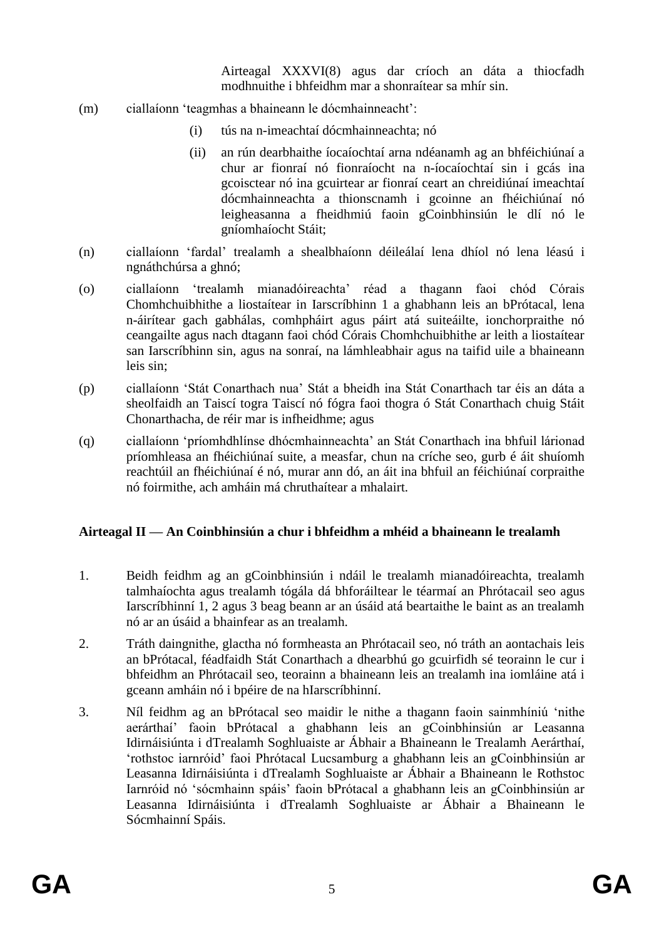Airteagal XXXVI(8) agus dar críoch an dáta a thiocfadh modhnuithe i bhfeidhm mar a shonraítear sa mhír sin.

- (m) ciallaíonn 'teagmhas a bhaineann le dócmhainneacht':
	- (i) tús na n-imeachtaí dócmhainneachta; nó
	- (ii) an rún dearbhaithe íocaíochtaí arna ndéanamh ag an bhféichiúnaí a chur ar fionraí nó fionraíocht na n-íocaíochtaí sin i gcás ina gcoisctear nó ina gcuirtear ar fionraí ceart an chreidiúnaí imeachtaí dócmhainneachta a thionscnamh i gcoinne an fhéichiúnaí nó leigheasanna a fheidhmiú faoin gCoinbhinsiún le dlí nó le gníomhaíocht Stáit;
- (n) ciallaíonn 'fardal' trealamh a shealbhaíonn déileálaí lena dhíol nó lena léasú i ngnáthchúrsa a ghnó;
- (o) ciallaíonn 'trealamh mianadóireachta' réad a thagann faoi chód Córais Chomhchuibhithe a liostaítear in Iarscríbhinn 1 a ghabhann leis an bPrótacal, lena n-áirítear gach gabhálas, comhpháirt agus páirt atá suiteáilte, ionchorpraithe nó ceangailte agus nach dtagann faoi chód Córais Chomhchuibhithe ar leith a liostaítear san Iarscríbhinn sin, agus na sonraí, na lámhleabhair agus na taifid uile a bhaineann leis sin;
- (p) ciallaíonn 'Stát Conarthach nua' Stát a bheidh ina Stát Conarthach tar éis an dáta a sheolfaidh an Taiscí togra Taiscí nó fógra faoi thogra ó Stát Conarthach chuig Stáit Chonarthacha, de réir mar is infheidhme; agus
- (q) ciallaíonn 'príomhdhlínse dhócmhainneachta' an Stát Conarthach ina bhfuil lárionad príomhleasa an fhéichiúnaí suite, a measfar, chun na críche seo, gurb é áit shuíomh reachtúil an fhéichiúnaí é nó, murar ann dó, an áit ina bhfuil an féichiúnaí corpraithe nó foirmithe, ach amháin má chruthaítear a mhalairt.

#### **Airteagal II — An Coinbhinsiún a chur i bhfeidhm a mhéid a bhaineann le trealamh**

- 1. Beidh feidhm ag an gCoinbhinsiún i ndáil le trealamh mianadóireachta, trealamh talmhaíochta agus trealamh tógála dá bhforáiltear le téarmaí an Phrótacail seo agus Iarscríbhinní 1, 2 agus 3 beag beann ar an úsáid atá beartaithe le baint as an trealamh nó ar an úsáid a bhainfear as an trealamh.
- 2. Tráth daingnithe, glactha nó formheasta an Phrótacail seo, nó tráth an aontachais leis an bPrótacal, féadfaidh Stát Conarthach a dhearbhú go gcuirfidh sé teorainn le cur i bhfeidhm an Phrótacail seo, teorainn a bhaineann leis an trealamh ina iomláine atá i gceann amháin nó i bpéire de na hIarscríbhinní.
- 3. Níl feidhm ag an bPrótacal seo maidir le nithe a thagann faoin sainmhíniú 'nithe aerárthaí' faoin bPrótacal a ghabhann leis an gCoinbhinsiún ar Leasanna Idirnáisiúnta i dTrealamh Soghluaiste ar Ábhair a Bhaineann le Trealamh Aerárthaí, 'rothstoc iarnróid' faoi Phrótacal Lucsamburg a ghabhann leis an gCoinbhinsiún ar Leasanna Idirnáisiúnta i dTrealamh Soghluaiste ar Ábhair a Bhaineann le Rothstoc Iarnróid nó 'sócmhainn spáis' faoin bPrótacal a ghabhann leis an gCoinbhinsiún ar Leasanna Idirnáisiúnta i dTrealamh Soghluaiste ar Ábhair a Bhaineann le Sócmhainní Spáis.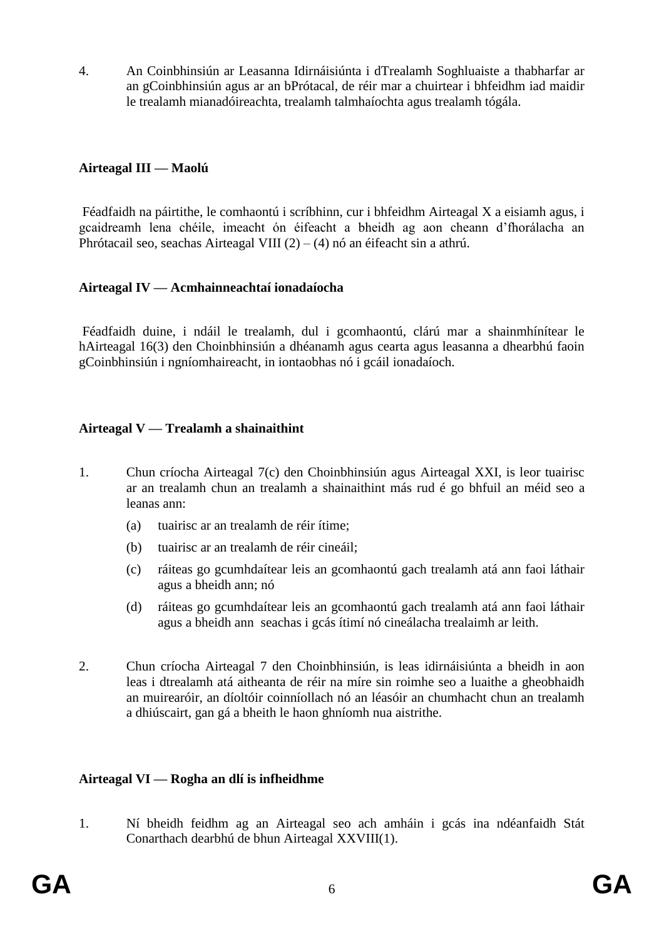4. An Coinbhinsiún ar Leasanna Idirnáisiúnta i dTrealamh Soghluaiste a thabharfar ar an gCoinbhinsiún agus ar an bPrótacal, de réir mar a chuirtear i bhfeidhm iad maidir le trealamh mianadóireachta, trealamh talmhaíochta agus trealamh tógála.

#### **Airteagal III — Maolú**

Féadfaidh na páirtithe, le comhaontú i scríbhinn, cur i bhfeidhm Airteagal X a eisiamh agus, i gcaidreamh lena chéile, imeacht ón éifeacht a bheidh ag aon cheann d'fhorálacha an Phrótacail seo, seachas Airteagal VIII  $(2) - (4)$  nó an éifeacht sin a athrú.

#### **Airteagal IV — Acmhainneachtaí ionadaíocha**

Féadfaidh duine, i ndáil le trealamh, dul i gcomhaontú, clárú mar a shainmhínítear le hAirteagal 16(3) den Choinbhinsiún a dhéanamh agus cearta agus leasanna a dhearbhú faoin gCoinbhinsiún i ngníomhaireacht, in iontaobhas nó i gcáil ionadaíoch.

#### **Airteagal V — Trealamh a shainaithint**

- 1. Chun críocha Airteagal 7(c) den Choinbhinsiún agus Airteagal XXI, is leor tuairisc ar an trealamh chun an trealamh a shainaithint más rud é go bhfuil an méid seo a leanas ann:
	- (a) tuairisc ar an trealamh de réir ítime;
	- (b) tuairisc ar an trealamh de réir cineáil;
	- (c) ráiteas go gcumhdaítear leis an gcomhaontú gach trealamh atá ann faoi láthair agus a bheidh ann; nó
	- (d) ráiteas go gcumhdaítear leis an gcomhaontú gach trealamh atá ann faoi láthair agus a bheidh ann seachas i gcás ítimí nó cineálacha trealaimh ar leith.
- 2. Chun críocha Airteagal 7 den Choinbhinsiún, is leas idirnáisiúnta a bheidh in aon leas i dtrealamh atá aitheanta de réir na míre sin roimhe seo a luaithe a gheobhaidh an muirearóir, an díoltóir coinníollach nó an léasóir an chumhacht chun an trealamh a dhiúscairt, gan gá a bheith le haon ghníomh nua aistrithe.

## **Airteagal VI — Rogha an dlí is infheidhme**

1. Ní bheidh feidhm ag an Airteagal seo ach amháin i gcás ina ndéanfaidh Stát Conarthach dearbhú de bhun Airteagal XXVIII(1).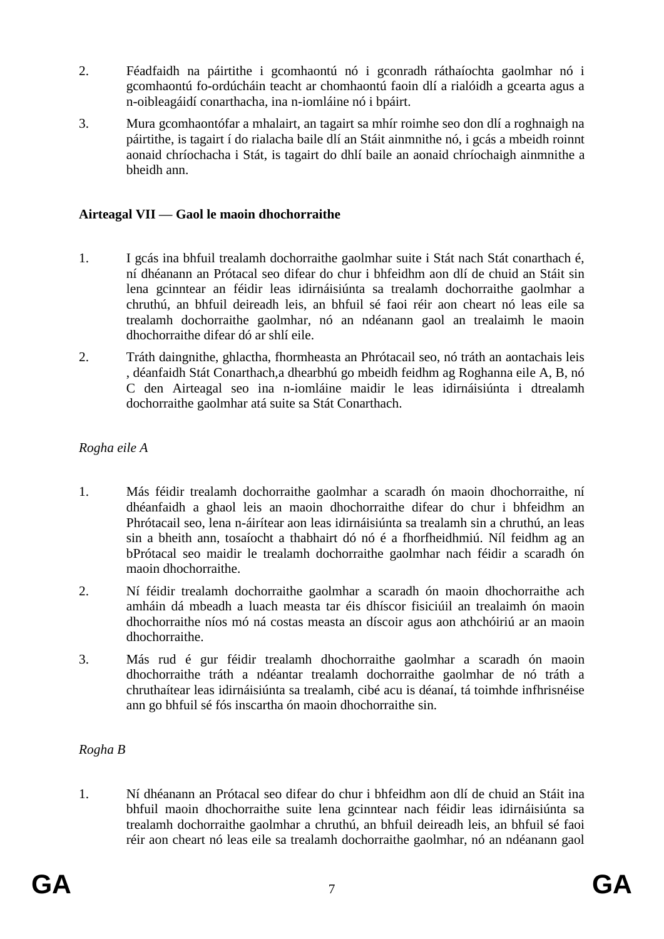- 2. Féadfaidh na páirtithe i gcomhaontú nó i gconradh ráthaíochta gaolmhar nó i gcomhaontú fo-ordúcháin teacht ar chomhaontú faoin dlí a rialóidh a gcearta agus a n-oibleagáidí conarthacha, ina n-iomláine nó i bpáirt.
- 3. Mura gcomhaontófar a mhalairt, an tagairt sa mhír roimhe seo don dlí a roghnaigh na páirtithe, is tagairt í do rialacha baile dlí an Stáit ainmnithe nó, i gcás a mbeidh roinnt aonaid chríochacha i Stát, is tagairt do dhlí baile an aonaid chríochaigh ainmnithe a bheidh ann.

#### **Airteagal VII — Gaol le maoin dhochorraithe**

- 1. I gcás ina bhfuil trealamh dochorraithe gaolmhar suite i Stát nach Stát conarthach é, ní dhéanann an Prótacal seo difear do chur i bhfeidhm aon dlí de chuid an Stáit sin lena gcinntear an féidir leas idirnáisiúnta sa trealamh dochorraithe gaolmhar a chruthú, an bhfuil deireadh leis, an bhfuil sé faoi réir aon cheart nó leas eile sa trealamh dochorraithe gaolmhar, nó an ndéanann gaol an trealaimh le maoin dhochorraithe difear dó ar shlí eile.
- 2. Tráth daingnithe, ghlactha, fhormheasta an Phrótacail seo, nó tráth an aontachais leis , déanfaidh Stát Conarthach,a dhearbhú go mbeidh feidhm ag Roghanna eile A, B, nó C den Airteagal seo ina n-iomláine maidir le leas idirnáisiúnta i dtrealamh dochorraithe gaolmhar atá suite sa Stát Conarthach.

#### *Rogha eile A*

- 1. Más féidir trealamh dochorraithe gaolmhar a scaradh ón maoin dhochorraithe, ní dhéanfaidh a ghaol leis an maoin dhochorraithe difear do chur i bhfeidhm an Phrótacail seo, lena n-áirítear aon leas idirnáisiúnta sa trealamh sin a chruthú, an leas sin a bheith ann, tosaíocht a thabhairt dó nó é a fhorfheidhmiú. Níl feidhm ag an bPrótacal seo maidir le trealamh dochorraithe gaolmhar nach féidir a scaradh ón maoin dhochorraithe.
- 2. Ní féidir trealamh dochorraithe gaolmhar a scaradh ón maoin dhochorraithe ach amháin dá mbeadh a luach measta tar éis dhíscor fisiciúil an trealaimh ón maoin dhochorraithe níos mó ná costas measta an díscoir agus aon athchóiriú ar an maoin dhochorraithe.
- 3. Más rud é gur féidir trealamh dhochorraithe gaolmhar a scaradh ón maoin dhochorraithe tráth a ndéantar trealamh dochorraithe gaolmhar de nó tráth a chruthaítear leas idirnáisiúnta sa trealamh, cibé acu is déanaí, tá toimhde infhrisnéise ann go bhfuil sé fós inscartha ón maoin dhochorraithe sin.

#### *Rogha B*

1. Ní dhéanann an Prótacal seo difear do chur i bhfeidhm aon dlí de chuid an Stáit ina bhfuil maoin dhochorraithe suite lena gcinntear nach féidir leas idirnáisiúnta sa trealamh dochorraithe gaolmhar a chruthú, an bhfuil deireadh leis, an bhfuil sé faoi réir aon cheart nó leas eile sa trealamh dochorraithe gaolmhar, nó an ndéanann gaol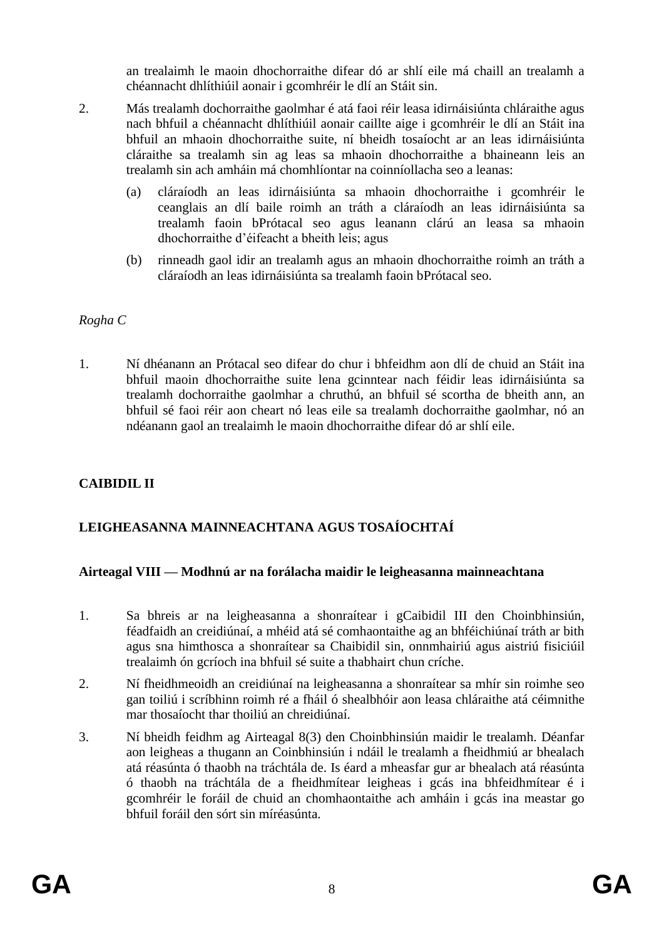an trealaimh le maoin dhochorraithe difear dó ar shlí eile má chaill an trealamh a chéannacht dhlíthiúil aonair i gcomhréir le dlí an Stáit sin.

- 2. Más trealamh dochorraithe gaolmhar é atá faoi réir leasa idirnáisiúnta chláraithe agus nach bhfuil a chéannacht dhlíthiúil aonair caillte aige i gcomhréir le dlí an Stáit ina bhfuil an mhaoin dhochorraithe suite, ní bheidh tosaíocht ar an leas idirnáisiúnta cláraithe sa trealamh sin ag leas sa mhaoin dhochorraithe a bhaineann leis an trealamh sin ach amháin má chomhlíontar na coinníollacha seo a leanas:
	- (a) cláraíodh an leas idirnáisiúnta sa mhaoin dhochorraithe i gcomhréir le ceanglais an dlí baile roimh an tráth a cláraíodh an leas idirnáisiúnta sa trealamh faoin bPrótacal seo agus leanann clárú an leasa sa mhaoin dhochorraithe d'éifeacht a bheith leis; agus
	- (b) rinneadh gaol idir an trealamh agus an mhaoin dhochorraithe roimh an tráth a cláraíodh an leas idirnáisiúnta sa trealamh faoin bPrótacal seo.

## *Rogha C*

1. Ní dhéanann an Prótacal seo difear do chur i bhfeidhm aon dlí de chuid an Stáit ina bhfuil maoin dhochorraithe suite lena gcinntear nach féidir leas idirnáisiúnta sa trealamh dochorraithe gaolmhar a chruthú, an bhfuil sé scortha de bheith ann, an bhfuil sé faoi réir aon cheart nó leas eile sa trealamh dochorraithe gaolmhar, nó an ndéanann gaol an trealaimh le maoin dhochorraithe difear dó ar shlí eile.

## **CAIBIDIL II**

# **LEIGHEASANNA MAINNEACHTANA AGUS TOSAÍOCHTAÍ**

#### **Airteagal VIII — Modhnú ar na forálacha maidir le leigheasanna mainneachtana**

- 1. Sa bhreis ar na leigheasanna a shonraítear i gCaibidil III den Choinbhinsiún, féadfaidh an creidiúnaí, a mhéid atá sé comhaontaithe ag an bhféichiúnaí tráth ar bith agus sna himthosca a shonraítear sa Chaibidil sin, onnmhairiú agus aistriú fisiciúil trealaimh ón gcríoch ina bhfuil sé suite a thabhairt chun críche.
- 2. Ní fheidhmeoidh an creidiúnaí na leigheasanna a shonraítear sa mhír sin roimhe seo gan toiliú i scríbhinn roimh ré a fháil ó shealbhóir aon leasa chláraithe atá céimnithe mar thosaíocht thar thoiliú an chreidiúnaí.
- 3. Ní bheidh feidhm ag Airteagal 8(3) den Choinbhinsiún maidir le trealamh. Déanfar aon leigheas a thugann an Coinbhinsiún i ndáil le trealamh a fheidhmiú ar bhealach atá réasúnta ó thaobh na tráchtála de. Is éard a mheasfar gur ar bhealach atá réasúnta ó thaobh na tráchtála de a fheidhmítear leigheas i gcás ina bhfeidhmítear é i gcomhréir le foráil de chuid an chomhaontaithe ach amháin i gcás ina meastar go bhfuil foráil den sórt sin míréasúnta.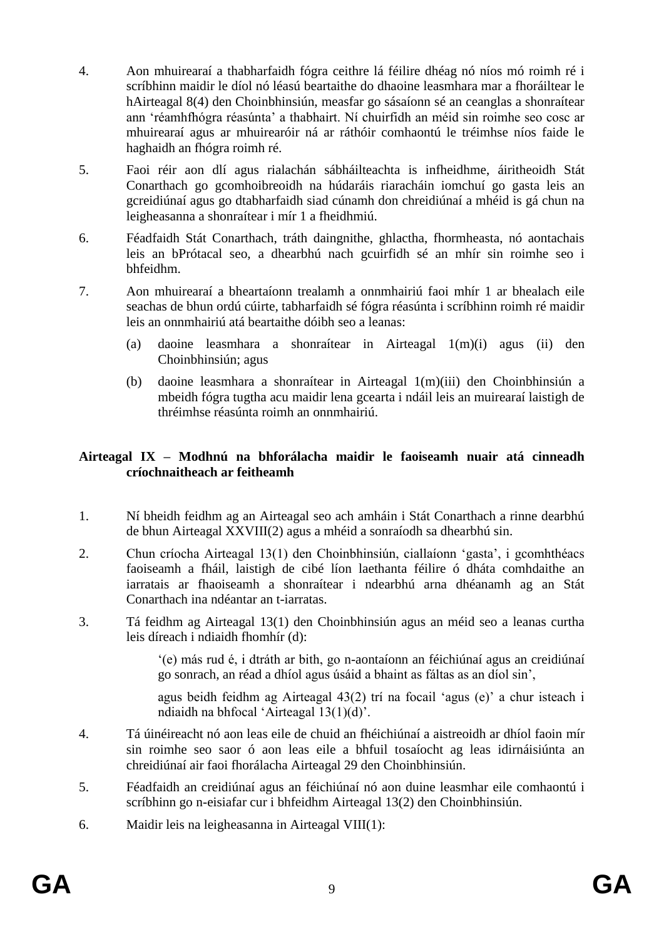- 4. Aon mhuirearaí a thabharfaidh fógra ceithre lá féilire dhéag nó níos mó roimh ré i scríbhinn maidir le díol nó léasú beartaithe do dhaoine leasmhara mar a fhoráiltear le hAirteagal 8(4) den Choinbhinsiún, measfar go sásaíonn sé an ceanglas a shonraítear ann 'réamhfhógra réasúnta' a thabhairt. Ní chuirfidh an méid sin roimhe seo cosc ar mhuirearaí agus ar mhuirearóir ná ar ráthóir comhaontú le tréimhse níos faide le haghaidh an fhógra roimh ré.
- 5. Faoi réir aon dlí agus rialachán sábháilteachta is infheidhme, áiritheoidh Stát Conarthach go gcomhoibreoidh na húdaráis riaracháin iomchuí go gasta leis an gcreidiúnaí agus go dtabharfaidh siad cúnamh don chreidiúnaí a mhéid is gá chun na leigheasanna a shonraítear i mír 1 a fheidhmiú.
- 6. Féadfaidh Stát Conarthach, tráth daingnithe, ghlactha, fhormheasta, nó aontachais leis an bPrótacal seo, a dhearbhú nach gcuirfidh sé an mhír sin roimhe seo i bhfeidhm.
- 7. Aon mhuirearaí a bheartaíonn trealamh a onnmhairiú faoi mhír 1 ar bhealach eile seachas de bhun ordú cúirte, tabharfaidh sé fógra réasúnta i scríbhinn roimh ré maidir leis an onnmhairiú atá beartaithe dóibh seo a leanas:
	- (a) daoine leasmhara a shonraítear in Airteagal 1(m)(i) agus (ii) den Choinbhinsiún; agus
	- (b) daoine leasmhara a shonraítear in Airteagal 1(m)(iii) den Choinbhinsiún a mbeidh fógra tugtha acu maidir lena gcearta i ndáil leis an muirearaí laistigh de thréimhse réasúnta roimh an onnmhairiú.

#### **Airteagal IX – Modhnú na bhforálacha maidir le faoiseamh nuair atá cinneadh críochnaitheach ar feitheamh**

- 1. Ní bheidh feidhm ag an Airteagal seo ach amháin i Stát Conarthach a rinne dearbhú de bhun Airteagal XXVIII(2) agus a mhéid a sonraíodh sa dhearbhú sin.
- 2. Chun críocha Airteagal 13(1) den Choinbhinsiún, ciallaíonn 'gasta', i gcomhthéacs faoiseamh a fháil, laistigh de cibé líon laethanta féilire ó dháta comhdaithe an iarratais ar fhaoiseamh a shonraítear i ndearbhú arna dhéanamh ag an Stát Conarthach ina ndéantar an t-iarratas.
- 3. Tá feidhm ag Airteagal 13(1) den Choinbhinsiún agus an méid seo a leanas curtha leis díreach i ndiaidh fhomhír (d):

'(e) más rud é, i dtráth ar bith, go n-aontaíonn an féichiúnaí agus an creidiúnaí go sonrach, an réad a dhíol agus úsáid a bhaint as fáltas as an díol sin',

agus beidh feidhm ag Airteagal 43(2) trí na focail 'agus (e)' a chur isteach i ndiaidh na bhfocal 'Airteagal 13(1)(d)'.

- 4. Tá úinéireacht nó aon leas eile de chuid an fhéichiúnaí a aistreoidh ar dhíol faoin mír sin roimhe seo saor ó aon leas eile a bhfuil tosaíocht ag leas idirnáisiúnta an chreidiúnaí air faoi fhorálacha Airteagal 29 den Choinbhinsiún.
- 5. Féadfaidh an creidiúnaí agus an féichiúnaí nó aon duine leasmhar eile comhaontú i scríbhinn go n-eisiafar cur i bhfeidhm Airteagal 13(2) den Choinbhinsiún.
- 6. Maidir leis na leigheasanna in Airteagal VIII(1):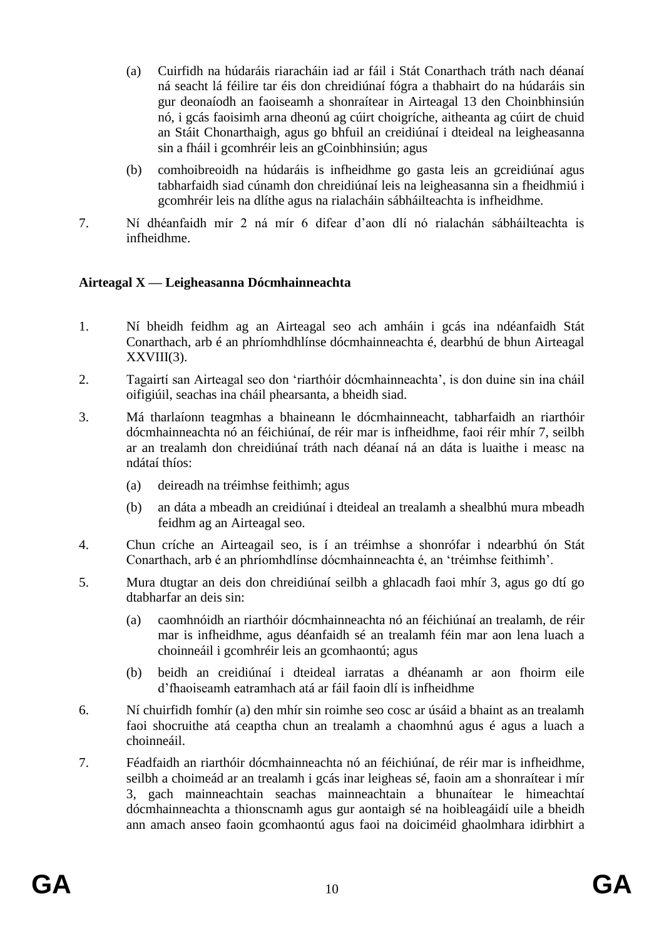- (a) Cuirfidh na húdaráis riaracháin iad ar fáil i Stát Conarthach tráth nach déanaí ná seacht lá féilire tar éis don chreidiúnaí fógra a thabhairt do na húdaráis sin gur deonaíodh an faoiseamh a shonraítear in Airteagal 13 den Choinbhinsiún nó, i gcás faoisimh arna dheonú ag cúirt choigríche, aitheanta ag cúirt de chuid an Stáit Chonarthaigh, agus go bhfuil an creidiúnaí i dteideal na leigheasanna sin a fháil i gcomhréir leis an gCoinbhinsiún; agus
- (b) comhoibreoidh na húdaráis is infheidhme go gasta leis an gcreidiúnaí agus tabharfaidh siad cúnamh don chreidiúnaí leis na leigheasanna sin a fheidhmiú i gcomhréir leis na dlíthe agus na rialacháin sábháilteachta is infheidhme.
- 7. Ní dhéanfaidh mír 2 ná mír 6 difear d'aon dlí nó rialachán sábháilteachta is infheidhme.

## **Airteagal X — Leigheasanna Dócmhainneachta**

- 1. Ní bheidh feidhm ag an Airteagal seo ach amháin i gcás ina ndéanfaidh Stát Conarthach, arb é an phríomhdhlínse dócmhainneachta é, dearbhú de bhun Airteagal XXVIII(3).
- 2. Tagairtí san Airteagal seo don 'riarthóir dócmhainneachta', is don duine sin ina cháil oifigiúil, seachas ina cháil phearsanta, a bheidh siad.
- 3. Má tharlaíonn teagmhas a bhaineann le dócmhainneacht, tabharfaidh an riarthóir dócmhainneachta nó an féichiúnaí, de réir mar is infheidhme, faoi réir mhír 7, seilbh ar an trealamh don chreidiúnaí tráth nach déanaí ná an dáta is luaithe i measc na ndátaí thíos:
	- (a) deireadh na tréimhse feithimh; agus
	- (b) an dáta a mbeadh an creidiúnaí i dteideal an trealamh a shealbhú mura mbeadh feidhm ag an Airteagal seo.
- 4. Chun críche an Airteagail seo, is í an tréimhse a shonrófar i ndearbhú ón Stát Conarthach, arb é an phríomhdlínse dócmhainneachta é, an 'tréimhse feithimh'.
- 5. Mura dtugtar an deis don chreidiúnaí seilbh a ghlacadh faoi mhír 3, agus go dtí go dtabharfar an deis sin:
	- (a) caomhnóidh an riarthóir dócmhainneachta nó an féichiúnaí an trealamh, de réir mar is infheidhme, agus déanfaidh sé an trealamh féin mar aon lena luach a choinneáil i gcomhréir leis an gcomhaontú; agus
	- (b) beidh an creidiúnaí i dteideal iarratas a dhéanamh ar aon fhoirm eile d'fhaoiseamh eatramhach atá ar fáil faoin dlí is infheidhme
- 6. Ní chuirfidh fomhír (a) den mhír sin roimhe seo cosc ar úsáid a bhaint as an trealamh faoi shocruithe atá ceaptha chun an trealamh a chaomhnú agus é agus a luach a choinneáil.
- 7. Féadfaidh an riarthóir dócmhainneachta nó an féichiúnaí, de réir mar is infheidhme, seilbh a choimeád ar an trealamh i gcás inar leigheas sé, faoin am a shonraítear i mír 3, gach mainneachtain seachas mainneachtain a bhunaítear le himeachtaí dócmhainneachta a thionscnamh agus gur aontaigh sé na hoibleagáidí uile a bheidh ann amach anseo faoin gcomhaontú agus faoi na doiciméid ghaolmhara idirbhirt a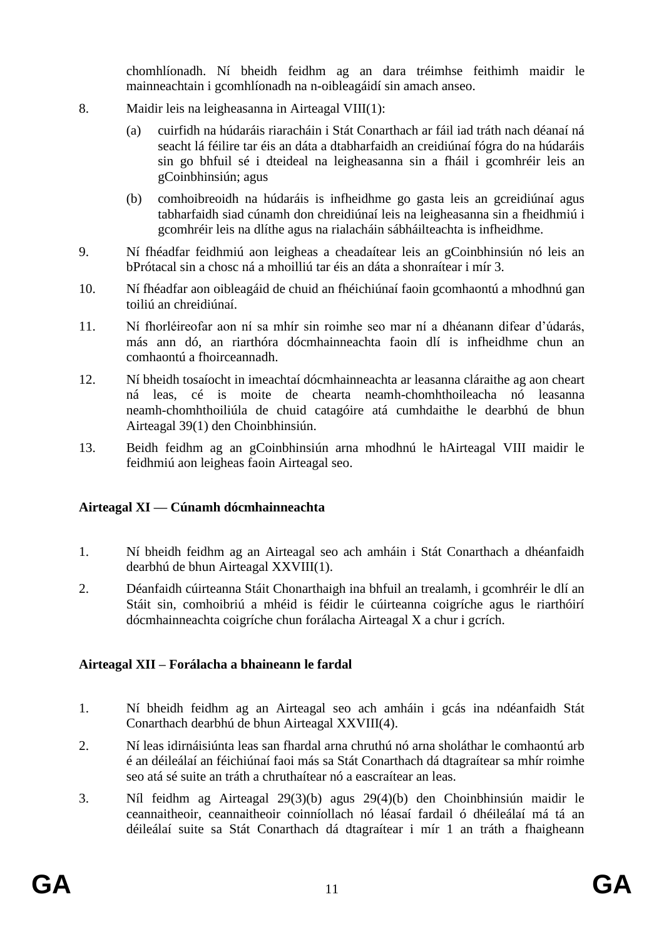chomhlíonadh. Ní bheidh feidhm ag an dara tréimhse feithimh maidir le mainneachtain i gcomhlíonadh na n-oibleagáidí sin amach anseo.

- 8. Maidir leis na leigheasanna in Airteagal VIII(1):
	- (a) cuirfidh na húdaráis riaracháin i Stát Conarthach ar fáil iad tráth nach déanaí ná seacht lá féilire tar éis an dáta a dtabharfaidh an creidiúnaí fógra do na húdaráis sin go bhfuil sé i dteideal na leigheasanna sin a fháil i gcomhréir leis an gCoinbhinsiún; agus
	- (b) comhoibreoidh na húdaráis is infheidhme go gasta leis an gcreidiúnaí agus tabharfaidh siad cúnamh don chreidiúnaí leis na leigheasanna sin a fheidhmiú i gcomhréir leis na dlíthe agus na rialacháin sábháilteachta is infheidhme.
- 9. Ní fhéadfar feidhmiú aon leigheas a cheadaítear leis an gCoinbhinsiún nó leis an bPrótacal sin a chosc ná a mhoilliú tar éis an dáta a shonraítear i mír 3.
- 10. Ní fhéadfar aon oibleagáid de chuid an fhéichiúnaí faoin gcomhaontú a mhodhnú gan toiliú an chreidiúnaí.
- 11. Ní fhorléireofar aon ní sa mhír sin roimhe seo mar ní a dhéanann difear d'údarás, más ann dó, an riarthóra dócmhainneachta faoin dlí is infheidhme chun an comhaontú a fhoirceannadh.
- 12. Ní bheidh tosaíocht in imeachtaí dócmhainneachta ar leasanna cláraithe ag aon cheart ná leas, cé is moite de chearta neamh-chomhthoileacha nó leasanna neamh-chomhthoiliúla de chuid catagóire atá cumhdaithe le dearbhú de bhun Airteagal 39(1) den Choinbhinsiún.
- 13. Beidh feidhm ag an gCoinbhinsiún arna mhodhnú le hAirteagal VIII maidir le feidhmiú aon leigheas faoin Airteagal seo.

# **Airteagal XI — Cúnamh dócmhainneachta**

- 1. Ní bheidh feidhm ag an Airteagal seo ach amháin i Stát Conarthach a dhéanfaidh dearbhú de bhun Airteagal XXVIII(1).
- 2. Déanfaidh cúirteanna Stáit Chonarthaigh ina bhfuil an trealamh, i gcomhréir le dlí an Stáit sin, comhoibriú a mhéid is féidir le cúirteanna coigríche agus le riarthóirí dócmhainneachta coigríche chun forálacha Airteagal X a chur i gcrích.

## **Airteagal XII – Forálacha a bhaineann le fardal**

- 1. Ní bheidh feidhm ag an Airteagal seo ach amháin i gcás ina ndéanfaidh Stát Conarthach dearbhú de bhun Airteagal XXVIII(4).
- 2. Ní leas idirnáisiúnta leas san fhardal arna chruthú nó arna sholáthar le comhaontú arb é an déileálaí an féichiúnaí faoi más sa Stát Conarthach dá dtagraítear sa mhír roimhe seo atá sé suite an tráth a chruthaítear nó a eascraítear an leas.
- 3. Níl feidhm ag Airteagal 29(3)(b) agus 29(4)(b) den Choinbhinsiún maidir le ceannaitheoir, ceannaitheoir coinníollach nó léasaí fardail ó dhéileálaí má tá an déileálaí suite sa Stát Conarthach dá dtagraítear i mír 1 an tráth a fhaigheann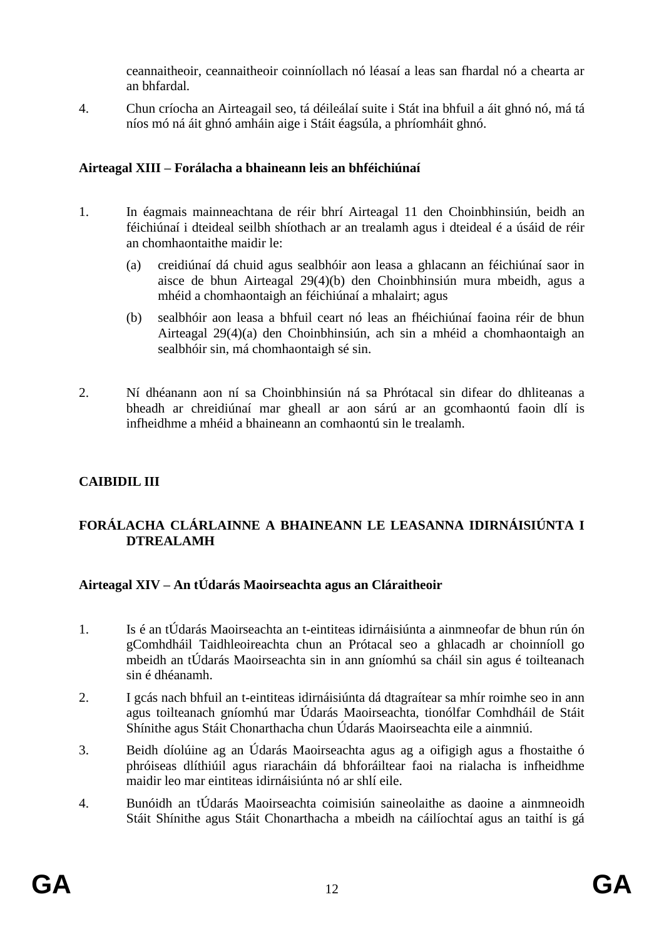ceannaitheoir, ceannaitheoir coinníollach nó léasaí a leas san fhardal nó a chearta ar an bhfardal*.* 

4. Chun críocha an Airteagail seo, tá déileálaí suite i Stát ina bhfuil a áit ghnó nó, má tá níos mó ná áit ghnó amháin aige i Stáit éagsúla, a phríomháit ghnó.

## **Airteagal XIII – Forálacha a bhaineann leis an bhféichiúnaí**

- 1. In éagmais mainneachtana de réir bhrí Airteagal 11 den Choinbhinsiún, beidh an féichiúnaí i dteideal seilbh shíothach ar an trealamh agus i dteideal é a úsáid de réir an chomhaontaithe maidir le:
	- (a) creidiúnaí dá chuid agus sealbhóir aon leasa a ghlacann an féichiúnaí saor in aisce de bhun Airteagal 29(4)(b) den Choinbhinsiún mura mbeidh, agus a mhéid a chomhaontaigh an féichiúnaí a mhalairt; agus
	- (b) sealbhóir aon leasa a bhfuil ceart nó leas an fhéichiúnaí faoina réir de bhun Airteagal 29(4)(a) den Choinbhinsiún, ach sin a mhéid a chomhaontaigh an sealbhóir sin, má chomhaontaigh sé sin.
- 2. Ní dhéanann aon ní sa Choinbhinsiún ná sa Phrótacal sin difear do dhliteanas a bheadh ar chreidiúnaí mar gheall ar aon sárú ar an gcomhaontú faoin dlí is infheidhme a mhéid a bhaineann an comhaontú sin le trealamh.

# **CAIBIDIL III**

## **FORÁLACHA CLÁRLAINNE A BHAINEANN LE LEASANNA IDIRNÁISIÚNTA I DTREALAMH**

## **Airteagal XIV – An tÚdarás Maoirseachta agus an Cláraitheoir**

- 1. Is é an tÚdarás Maoirseachta an t-eintiteas idirnáisiúnta a ainmneofar de bhun rún ón gComhdháil Taidhleoireachta chun an Prótacal seo a ghlacadh ar choinníoll go mbeidh an tÚdarás Maoirseachta sin in ann gníomhú sa cháil sin agus é toilteanach sin é dhéanamh.
- 2. I gcás nach bhfuil an t-eintiteas idirnáisiúnta dá dtagraítear sa mhír roimhe seo in ann agus toilteanach gníomhú mar Údarás Maoirseachta, tionólfar Comhdháil de Stáit Shínithe agus Stáit Chonarthacha chun Údarás Maoirseachta eile a ainmniú.
- 3. Beidh díolúine ag an Údarás Maoirseachta agus ag a oifigigh agus a fhostaithe ó phróiseas dlíthiúil agus riaracháin dá bhforáiltear faoi na rialacha is infheidhme maidir leo mar eintiteas idirnáisiúnta nó ar shlí eile.
- 4. Bunóidh an tÚdarás Maoirseachta coimisiún saineolaithe as daoine a ainmneoidh Stáit Shínithe agus Stáit Chonarthacha a mbeidh na cáilíochtaí agus an taithí is gá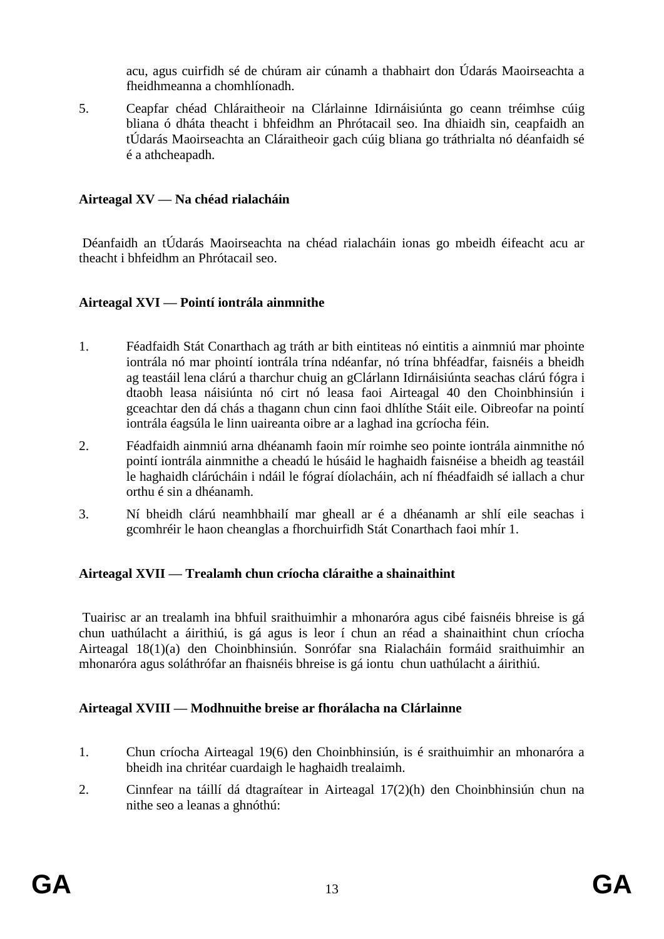acu, agus cuirfidh sé de chúram air cúnamh a thabhairt don Údarás Maoirseachta a fheidhmeanna a chomhlíonadh.

5. Ceapfar chéad Chláraitheoir na Clárlainne Idirnáisiúnta go ceann tréimhse cúig bliana ó dháta theacht i bhfeidhm an Phrótacail seo. Ina dhiaidh sin, ceapfaidh an tÚdarás Maoirseachta an Cláraitheoir gach cúig bliana go tráthrialta nó déanfaidh sé é a athcheapadh.

#### **Airteagal XV — Na chéad rialacháin**

Déanfaidh an tÚdarás Maoirseachta na chéad rialacháin ionas go mbeidh éifeacht acu ar theacht i bhfeidhm an Phrótacail seo.

#### **Airteagal XVI — Pointí iontrála ainmnithe**

- 1. Féadfaidh Stát Conarthach ag tráth ar bith eintiteas nó eintitis a ainmniú mar phointe iontrála nó mar phointí iontrála trína ndéanfar, nó trína bhféadfar, faisnéis a bheidh ag teastáil lena clárú a tharchur chuig an gClárlann Idirnáisiúnta seachas clárú fógra i dtaobh leasa náisiúnta nó cirt nó leasa faoi Airteagal 40 den Choinbhinsiún i gceachtar den dá chás a thagann chun cinn faoi dhlíthe Stáit eile. Oibreofar na pointí iontrála éagsúla le linn uaireanta oibre ar a laghad ina gcríocha féin.
- 2. Féadfaidh ainmniú arna dhéanamh faoin mír roimhe seo pointe iontrála ainmnithe nó pointí iontrála ainmnithe a cheadú le húsáid le haghaidh faisnéise a bheidh ag teastáil le haghaidh clárúcháin i ndáil le fógraí díolacháin, ach ní fhéadfaidh sé iallach a chur orthu é sin a dhéanamh.
- 3. Ní bheidh clárú neamhbhailí mar gheall ar é a dhéanamh ar shlí eile seachas i gcomhréir le haon cheanglas a fhorchuirfidh Stát Conarthach faoi mhír 1.

#### **Airteagal XVII — Trealamh chun críocha cláraithe a shainaithint**

Tuairisc ar an trealamh ina bhfuil sraithuimhir a mhonaróra agus cibé faisnéis bhreise is gá chun uathúlacht a áirithiú, is gá agus is leor í chun an réad a shainaithint chun críocha Airteagal 18(1)(a) den Choinbhinsiún. Sonrófar sna Rialacháin formáid sraithuimhir an mhonaróra agus soláthrófar an fhaisnéis bhreise is gá iontu chun uathúlacht a áirithiú.

## **Airteagal XVIII — Modhnuithe breise ar fhorálacha na Clárlainne**

- 1. Chun críocha Airteagal 19(6) den Choinbhinsiún, is é sraithuimhir an mhonaróra a bheidh ina chritéar cuardaigh le haghaidh trealaimh.
- 2. Cinnfear na táillí dá dtagraítear in Airteagal 17(2)(h) den Choinbhinsiún chun na nithe seo a leanas a ghnóthú: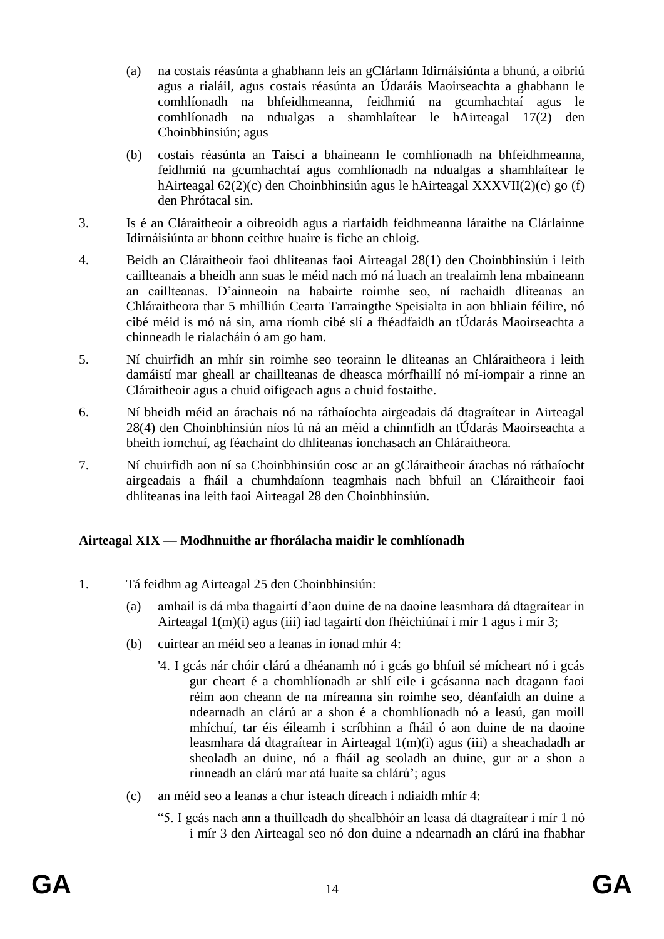- (a) na costais réasúnta a ghabhann leis an gClárlann Idirnáisiúnta a bhunú, a oibriú agus a rialáil, agus costais réasúnta an Údaráis Maoirseachta a ghabhann le comhlíonadh na bhfeidhmeanna, feidhmiú na gcumhachtaí agus le comhlíonadh na ndualgas a shamhlaítear le hAirteagal 17(2) den Choinbhinsiún; agus
- (b) costais réasúnta an Taiscí a bhaineann le comhlíonadh na bhfeidhmeanna, feidhmiú na gcumhachtaí agus comhlíonadh na ndualgas a shamhlaítear le hAirteagal 62(2)(c) den Choinbhinsiún agus le hAirteagal XXXVII(2)(c) go (f) den Phrótacal sin.
- 3. Is é an Cláraitheoir a oibreoidh agus a riarfaidh feidhmeanna láraithe na Clárlainne Idirnáisiúnta ar bhonn ceithre huaire is fiche an chloig.
- 4. Beidh an Cláraitheoir faoi dhliteanas faoi Airteagal 28(1) den Choinbhinsiún i leith caillteanais a bheidh ann suas le méid nach mó ná luach an trealaimh lena mbaineann an caillteanas. D'ainneoin na habairte roimhe seo, ní rachaidh dliteanas an Chláraitheora thar 5 mhilliún Cearta Tarraingthe Speisialta in aon bhliain féilire, nó cibé méid is mó ná sin, arna ríomh cibé slí a fhéadfaidh an tÚdarás Maoirseachta a chinneadh le rialacháin ó am go ham.
- 5. Ní chuirfidh an mhír sin roimhe seo teorainn le dliteanas an Chláraitheora i leith damáistí mar gheall ar chaillteanas de dheasca mórfhaillí nó mí-iompair a rinne an Cláraitheoir agus a chuid oifigeach agus a chuid fostaithe.
- 6. Ní bheidh méid an árachais nó na ráthaíochta airgeadais dá dtagraítear in Airteagal 28(4) den Choinbhinsiún níos lú ná an méid a chinnfidh an tÚdarás Maoirseachta a bheith iomchuí, ag féachaint do dhliteanas ionchasach an Chláraitheora.
- 7. Ní chuirfidh aon ní sa Choinbhinsiún cosc ar an gCláraitheoir árachas nó ráthaíocht airgeadais a fháil a chumhdaíonn teagmhais nach bhfuil an Cláraitheoir faoi dhliteanas ina leith faoi Airteagal 28 den Choinbhinsiún.

## **Airteagal XIX — Modhnuithe ar fhorálacha maidir le comhlíonadh**

- 1. Tá feidhm ag Airteagal 25 den Choinbhinsiún:
	- (a) amhail is dá mba thagairtí d'aon duine de na daoine leasmhara dá dtagraítear in Airteagal 1(m)(i) agus (iii) iad tagairtí don fhéichiúnaí i mír 1 agus i mír 3;
	- (b) cuirtear an méid seo a leanas in ionad mhír 4:
		- '4. I gcás nár chóir clárú a dhéanamh nó i gcás go bhfuil sé mícheart nó i gcás gur cheart é a chomhlíonadh ar shlí eile i gcásanna nach dtagann faoi réim aon cheann de na míreanna sin roimhe seo, déanfaidh an duine a ndearnadh an clárú ar a shon é a chomhlíonadh nó a leasú, gan moill mhíchuí, tar éis éileamh i scríbhinn a fháil ó aon duine de na daoine leasmhara dá dtagraítear in Airteagal 1(m)(i) agus (iii) a sheachadadh ar sheoladh an duine, nó a fháil ag seoladh an duine, gur ar a shon a rinneadh an clárú mar atá luaite sa chlárú'; agus
	- (c) an méid seo a leanas a chur isteach díreach i ndiaidh mhír 4:
		- "5. I gcás nach ann a thuilleadh do shealbhóir an leasa dá dtagraítear i mír 1 nó i mír 3 den Airteagal seo nó don duine a ndearnadh an clárú ina fhabhar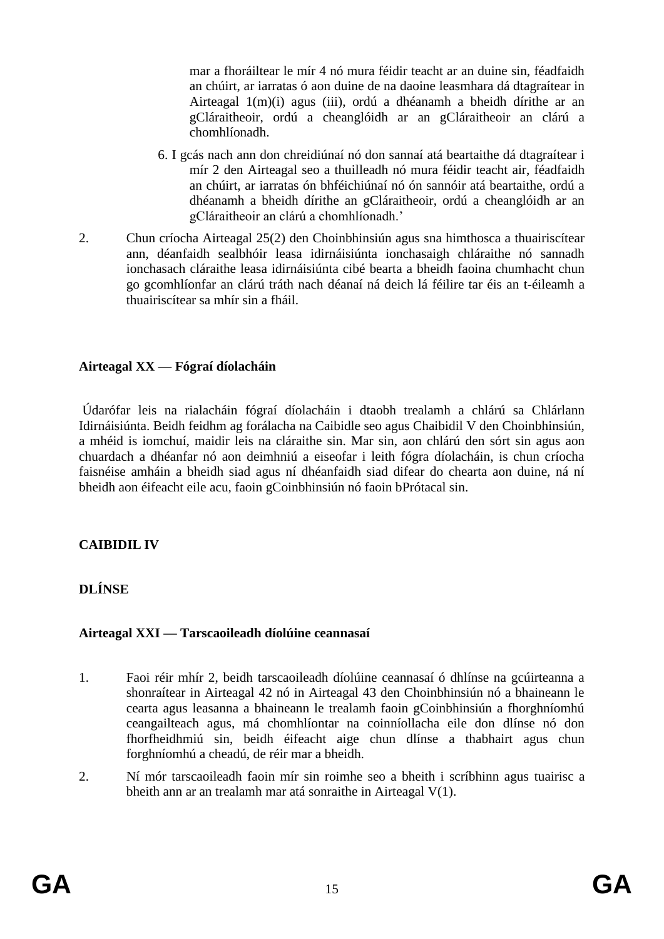mar a fhoráiltear le mír 4 nó mura féidir teacht ar an duine sin, féadfaidh an chúirt, ar iarratas ó aon duine de na daoine leasmhara dá dtagraítear in Airteagal 1(m)(i) agus (iii), ordú a dhéanamh a bheidh dírithe ar an gCláraitheoir, ordú a cheanglóidh ar an gCláraitheoir an clárú a chomhlíonadh.

- 6. I gcás nach ann don chreidiúnaí nó don sannaí atá beartaithe dá dtagraítear i mír 2 den Airteagal seo a thuilleadh nó mura féidir teacht air, féadfaidh an chúirt, ar iarratas ón bhféichiúnaí nó ón sannóir atá beartaithe, ordú a dhéanamh a bheidh dírithe an gCláraitheoir, ordú a cheanglóidh ar an gCláraitheoir an clárú a chomhlíonadh.'
- 2. Chun críocha Airteagal 25(2) den Choinbhinsiún agus sna himthosca a thuairiscítear ann, déanfaidh sealbhóir leasa idirnáisiúnta ionchasaigh chláraithe nó sannadh ionchasach cláraithe leasa idirnáisiúnta cibé bearta a bheidh faoina chumhacht chun go gcomhlíonfar an clárú tráth nach déanaí ná deich lá féilire tar éis an t-éileamh a thuairiscítear sa mhír sin a fháil.

## **Airteagal XX — Fógraí díolacháin**

Údarófar leis na rialacháin fógraí díolacháin i dtaobh trealamh a chlárú sa Chlárlann Idirnáisiúnta. Beidh feidhm ag forálacha na Caibidle seo agus Chaibidil V den Choinbhinsiún, a mhéid is iomchuí, maidir leis na cláraithe sin. Mar sin, aon chlárú den sórt sin agus aon chuardach a dhéanfar nó aon deimhniú a eiseofar i leith fógra díolacháin, is chun críocha faisnéise amháin a bheidh siad agus ní dhéanfaidh siad difear do chearta aon duine, ná ní bheidh aon éifeacht eile acu, faoin gCoinbhinsiún nó faoin bPrótacal sin.

## **CAIBIDIL IV**

# **DLÍNSE**

## **Airteagal XXI — Tarscaoileadh díolúine ceannasaí**

- 1. Faoi réir mhír 2, beidh tarscaoileadh díolúine ceannasaí ó dhlínse na gcúirteanna a shonraítear in Airteagal 42 nó in Airteagal 43 den Choinbhinsiún nó a bhaineann le cearta agus leasanna a bhaineann le trealamh faoin gCoinbhinsiún a fhorghníomhú ceangailteach agus, má chomhlíontar na coinníollacha eile don dlínse nó don fhorfheidhmiú sin, beidh éifeacht aige chun dlínse a thabhairt agus chun forghníomhú a cheadú, de réir mar a bheidh.
- 2. Ní mór tarscaoileadh faoin mír sin roimhe seo a bheith i scríbhinn agus tuairisc a bheith ann ar an trealamh mar atá sonraithe in Airteagal V(1).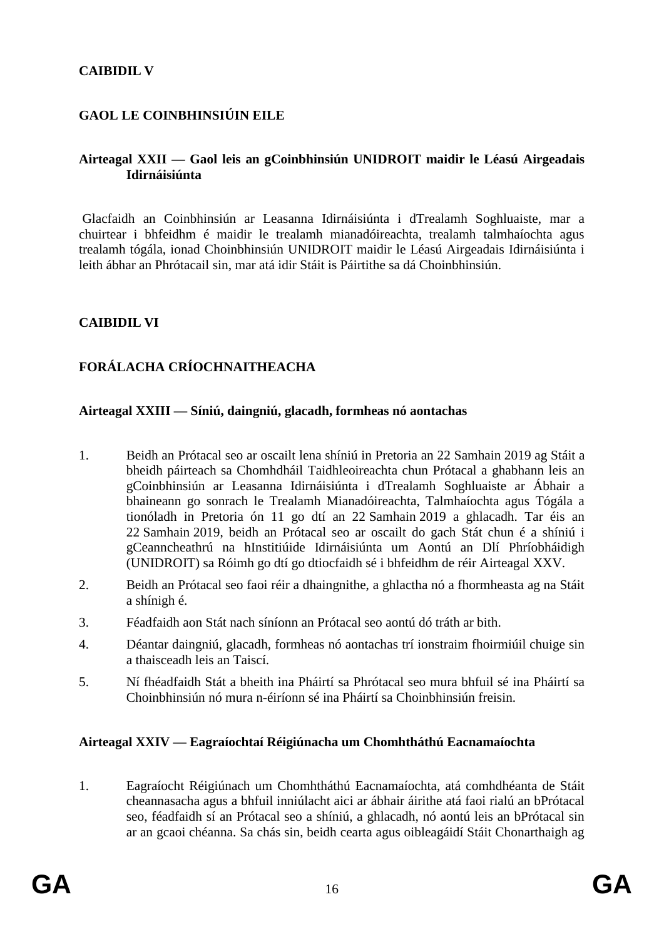## **CAIBIDIL V**

## **GAOL LE COINBHINSIÚIN EILE**

#### **Airteagal XXII — Gaol leis an gCoinbhinsiún UNIDROIT maidir le Léasú Airgeadais Idirnáisiúnta**

Glacfaidh an Coinbhinsiún ar Leasanna Idirnáisiúnta i dTrealamh Soghluaiste, mar a chuirtear i bhfeidhm é maidir le trealamh mianadóireachta, trealamh talmhaíochta agus trealamh tógála, ionad Choinbhinsiún UNIDROIT maidir le Léasú Airgeadais Idirnáisiúnta i leith ábhar an Phrótacail sin, mar atá idir Stáit is Páirtithe sa dá Choinbhinsiún.

## **CAIBIDIL VI**

# **FORÁLACHA CRÍOCHNAITHEACHA**

#### **Airteagal XXIII — Síniú, daingniú, glacadh, formheas nó aontachas**

- 1. Beidh an Prótacal seo ar oscailt lena shíniú in Pretoria an 22 Samhain 2019 ag Stáit a bheidh páirteach sa Chomhdháil Taidhleoireachta chun Prótacal a ghabhann leis an gCoinbhinsiún ar Leasanna Idirnáisiúnta i dTrealamh Soghluaiste ar Ábhair a bhaineann go sonrach le Trealamh Mianadóireachta, Talmhaíochta agus Tógála a tionóladh in Pretoria ón 11 go dtí an 22 Samhain 2019 a ghlacadh. Tar éis an 22 Samhain 2019, beidh an Prótacal seo ar oscailt do gach Stát chun é a shíniú i gCeanncheathrú na hInstitiúide Idirnáisiúnta um Aontú an Dlí Phríobháidigh (UNIDROIT) sa Róimh go dtí go dtiocfaidh sé i bhfeidhm de réir Airteagal XXV.
- 2. Beidh an Prótacal seo faoi réir a dhaingnithe, a ghlactha nó a fhormheasta ag na Stáit a shínigh é.
- 3. Féadfaidh aon Stát nach síníonn an Prótacal seo aontú dó tráth ar bith.
- 4. Déantar daingniú, glacadh, formheas nó aontachas trí ionstraim fhoirmiúil chuige sin a thaisceadh leis an Taiscí.
- 5. Ní fhéadfaidh Stát a bheith ina Pháirtí sa Phrótacal seo mura bhfuil sé ina Pháirtí sa Choinbhinsiún nó mura n-éiríonn sé ina Pháirtí sa Choinbhinsiún freisin.

## **Airteagal XXIV — Eagraíochtaí Réigiúnacha um Chomhtháthú Eacnamaíochta**

1. Eagraíocht Réigiúnach um Chomhtháthú Eacnamaíochta, atá comhdhéanta de Stáit cheannasacha agus a bhfuil inniúlacht aici ar ábhair áirithe atá faoi rialú an bPrótacal seo, féadfaidh sí an Prótacal seo a shíniú, a ghlacadh, nó aontú leis an bPrótacal sin ar an gcaoi chéanna. Sa chás sin, beidh cearta agus oibleagáidí Stáit Chonarthaigh ag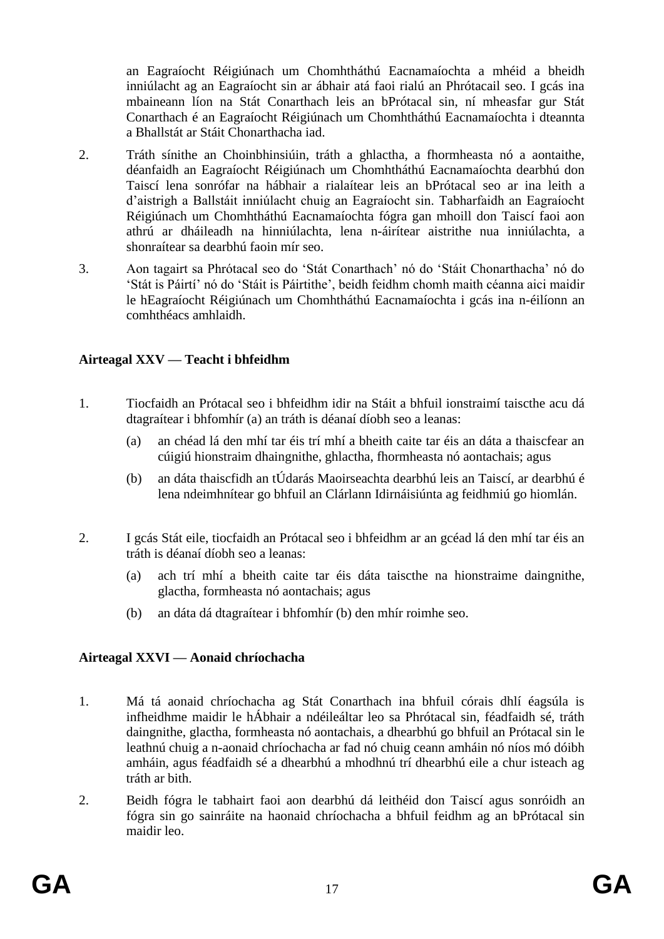an Eagraíocht Réigiúnach um Chomhtháthú Eacnamaíochta a mhéid a bheidh inniúlacht ag an Eagraíocht sin ar ábhair atá faoi rialú an Phrótacail seo. I gcás ina mbaineann líon na Stát Conarthach leis an bPrótacal sin, ní mheasfar gur Stát Conarthach é an Eagraíocht Réigiúnach um Chomhtháthú Eacnamaíochta i dteannta a Bhallstát ar Stáit Chonarthacha iad.

- 2. Tráth sínithe an Choinbhinsiúin, tráth a ghlactha, a fhormheasta nó a aontaithe, déanfaidh an Eagraíocht Réigiúnach um Chomhtháthú Eacnamaíochta dearbhú don Taiscí lena sonrófar na hábhair a rialaítear leis an bPrótacal seo ar ina leith a d'aistrigh a Ballstáit inniúlacht chuig an Eagraíocht sin. Tabharfaidh an Eagraíocht Réigiúnach um Chomhtháthú Eacnamaíochta fógra gan mhoill don Taiscí faoi aon athrú ar dháileadh na hinniúlachta, lena n-áirítear aistrithe nua inniúlachta, a shonraítear sa dearbhú faoin mír seo.
- 3. Aon tagairt sa Phrótacal seo do 'Stát Conarthach' nó do 'Stáit Chonarthacha' nó do 'Stát is Páirtí' nó do 'Stáit is Páirtithe', beidh feidhm chomh maith céanna aici maidir le hEagraíocht Réigiúnach um Chomhtháthú Eacnamaíochta i gcás ina n-éilíonn an comhthéacs amhlaidh.

## **Airteagal XXV — Teacht i bhfeidhm**

- 1. Tiocfaidh an Prótacal seo i bhfeidhm idir na Stáit a bhfuil ionstraimí taiscthe acu dá dtagraítear i bhfomhír (a) an tráth is déanaí díobh seo a leanas:
	- (a) an chéad lá den mhí tar éis trí mhí a bheith caite tar éis an dáta a thaiscfear an cúigiú hionstraim dhaingnithe, ghlactha, fhormheasta nó aontachais; agus
	- (b) an dáta thaiscfidh an tÚdarás Maoirseachta dearbhú leis an Taiscí, ar dearbhú é lena ndeimhnítear go bhfuil an Clárlann Idirnáisiúnta ag feidhmiú go hiomlán.
- 2. I gcás Stát eile, tiocfaidh an Prótacal seo i bhfeidhm ar an gcéad lá den mhí tar éis an tráth is déanaí díobh seo a leanas:
	- (a) ach trí mhí a bheith caite tar éis dáta taiscthe na hionstraime daingnithe, glactha, formheasta nó aontachais; agus
	- (b) an dáta dá dtagraítear i bhfomhír (b) den mhír roimhe seo.

## **Airteagal XXVI — Aonaid chríochacha**

- 1. Má tá aonaid chríochacha ag Stát Conarthach ina bhfuil córais dhlí éagsúla is infheidhme maidir le hÁbhair a ndéileáltar leo sa Phrótacal sin, féadfaidh sé, tráth daingnithe, glactha, formheasta nó aontachais, a dhearbhú go bhfuil an Prótacal sin le leathnú chuig a n-aonaid chríochacha ar fad nó chuig ceann amháin nó níos mó dóibh amháin, agus féadfaidh sé a dhearbhú a mhodhnú trí dhearbhú eile a chur isteach ag tráth ar bith.
- 2. Beidh fógra le tabhairt faoi aon dearbhú dá leithéid don Taiscí agus sonróidh an fógra sin go sainráite na haonaid chríochacha a bhfuil feidhm ag an bPrótacal sin maidir leo.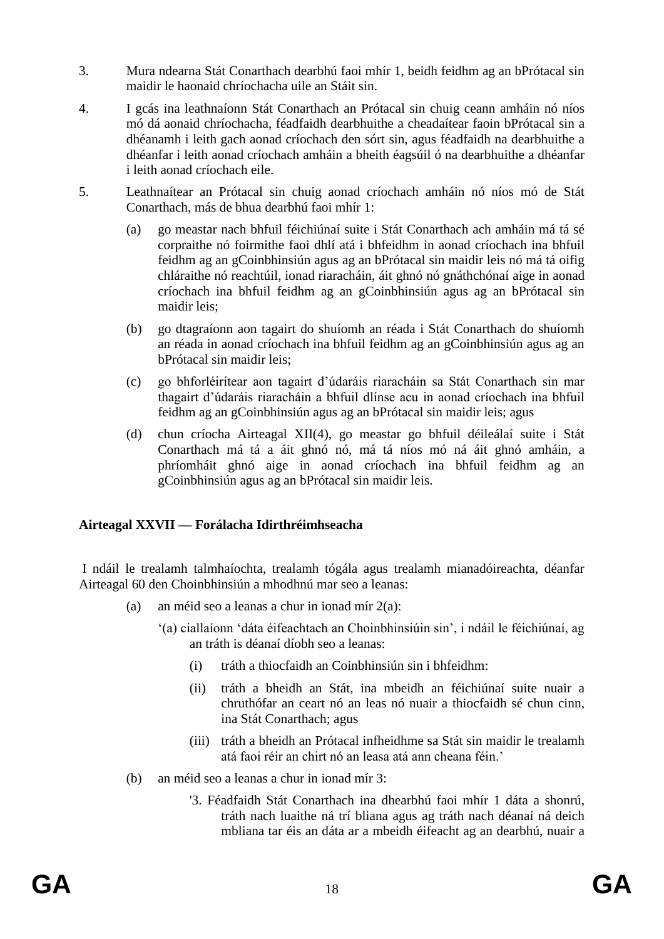- 3. Mura ndearna Stát Conarthach dearbhú faoi mhír 1, beidh feidhm ag an bPrótacal sin maidir le haonaid chríochacha uile an Stáit sin.
- 4. I gcás ina leathnaíonn Stát Conarthach an Prótacal sin chuig ceann amháin nó níos mó dá aonaid chríochacha, féadfaidh dearbhuithe a cheadaítear faoin bPrótacal sin a dhéanamh i leith gach aonad críochach den sórt sin, agus féadfaidh na dearbhuithe a dhéanfar i leith aonad críochach amháin a bheith éagsúil ó na dearbhuithe a dhéanfar i leith aonad críochach eile.
- 5. Leathnaítear an Prótacal sin chuig aonad críochach amháin nó níos mó de Stát Conarthach, más de bhua dearbhú faoi mhír 1:
	- (a) go meastar nach bhfuil féichiúnaí suite i Stát Conarthach ach amháin má tá sé corpraithe nó foirmithe faoi dhlí atá i bhfeidhm in aonad críochach ina bhfuil feidhm ag an gCoinbhinsiún agus ag an bPrótacal sin maidir leis nó má tá oifig chláraithe nó reachtúil, ionad riaracháin, áit ghnó nó gnáthchónaí aige in aonad críochach ina bhfuil feidhm ag an gCoinbhinsiún agus ag an bPrótacal sin maidir leis;
	- (b) go dtagraíonn aon tagairt do shuíomh an réada i Stát Conarthach do shuíomh an réada in aonad críochach ina bhfuil feidhm ag an gCoinbhinsiún agus ag an bPrótacal sin maidir leis;
	- (c) go bhforléirítear aon tagairt d'údaráis riaracháin sa Stát Conarthach sin mar thagairt d'údaráis riaracháin a bhfuil dlínse acu in aonad críochach ina bhfuil feidhm ag an gCoinbhinsiún agus ag an bPrótacal sin maidir leis; agus
	- (d) chun críocha Airteagal XII(4), go meastar go bhfuil déileálaí suite i Stát Conarthach má tá a áit ghnó nó, má tá níos mó ná áit ghnó amháin, a phríomháit ghnó aige in aonad críochach ina bhfuil feidhm ag an gCoinbhinsiún agus ag an bPrótacal sin maidir leis.

## **Airteagal XXVII — Forálacha Idirthréimhseacha**

I ndáil le trealamh talmhaíochta, trealamh tógála agus trealamh mianadóireachta, déanfar Airteagal 60 den Choinbhinsiún a mhodhnú mar seo a leanas:

- (a) an méid seo a leanas a chur in ionad mír 2(a):
	- '(a) ciallaíonn 'dáta éifeachtach an Choinbhinsiúin sin', i ndáil le féichiúnaí, ag an tráth is déanaí díobh seo a leanas:
		- (i) tráth a thiocfaidh an Coinbhinsiún sin i bhfeidhm:
		- (ii) tráth a bheidh an Stát, ina mbeidh an féichiúnaí suite nuair a chruthófar an ceart nó an leas nó nuair a thiocfaidh sé chun cinn, ina Stát Conarthach; agus
		- (iii) tráth a bheidh an Prótacal infheidhme sa Stát sin maidir le trealamh atá faoi réir an chirt nó an leasa atá ann cheana féin.'
- (b) an méid seo a leanas a chur in ionad mír 3:
	- '3. Féadfaidh Stát Conarthach ina dhearbhú faoi mhír 1 dáta a shonrú, tráth nach luaithe ná trí bliana agus ag tráth nach déanaí ná deich mbliana tar éis an dáta ar a mbeidh éifeacht ag an dearbhú, nuair a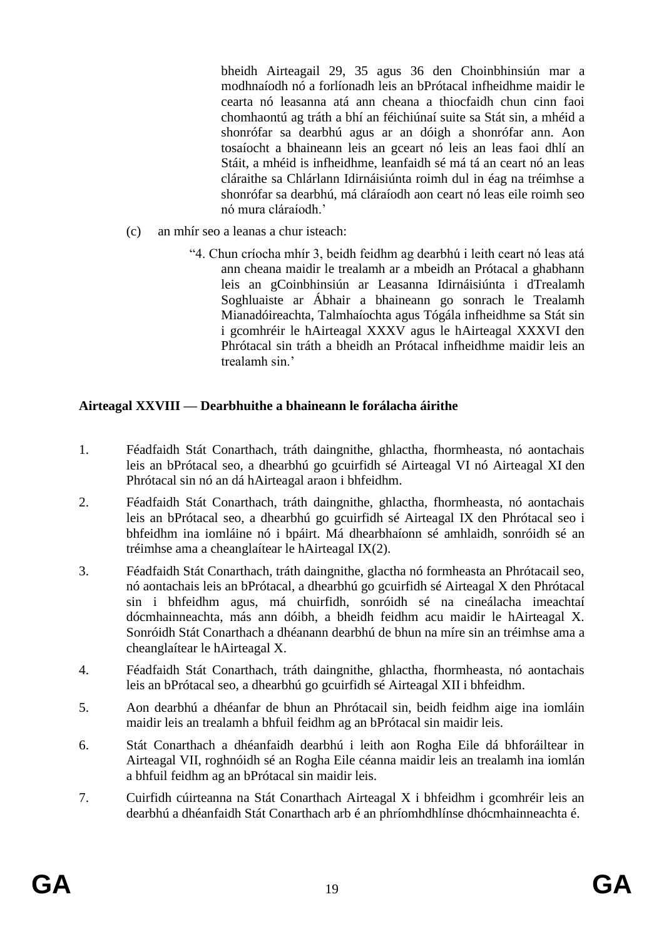bheidh Airteagail 29, 35 agus 36 den Choinbhinsiún mar a modhnaíodh nó a forlíonadh leis an bPrótacal infheidhme maidir le cearta nó leasanna atá ann cheana a thiocfaidh chun cinn faoi chomhaontú ag tráth a bhí an féichiúnaí suite sa Stát sin, a mhéid a shonrófar sa dearbhú agus ar an dóigh a shonrófar ann. Aon tosaíocht a bhaineann leis an gceart nó leis an leas faoi dhlí an Stáit, a mhéid is infheidhme, leanfaidh sé má tá an ceart nó an leas cláraithe sa Chlárlann Idirnáisiúnta roimh dul in éag na tréimhse a shonrófar sa dearbhú, má cláraíodh aon ceart nó leas eile roimh seo nó mura cláraíodh.'

- (c) an mhír seo a leanas a chur isteach:
	- "4. Chun críocha mhír 3, beidh feidhm ag dearbhú i leith ceart nó leas atá ann cheana maidir le trealamh ar a mbeidh an Prótacal a ghabhann leis an gCoinbhinsiún ar Leasanna Idirnáisiúnta i dTrealamh Soghluaiste ar Ábhair a bhaineann go sonrach le Trealamh Mianadóireachta, Talmhaíochta agus Tógála infheidhme sa Stát sin i gcomhréir le hAirteagal XXXV agus le hAirteagal XXXVI den Phrótacal sin tráth a bheidh an Prótacal infheidhme maidir leis an trealamh sin.'

## **Airteagal XXVIII — Dearbhuithe a bhaineann le forálacha áirithe**

- 1. Féadfaidh Stát Conarthach, tráth daingnithe, ghlactha, fhormheasta, nó aontachais leis an bPrótacal seo, a dhearbhú go gcuirfidh sé Airteagal VI nó Airteagal XI den Phrótacal sin nó an dá hAirteagal araon i bhfeidhm.
- 2. Féadfaidh Stát Conarthach, tráth daingnithe, ghlactha, fhormheasta, nó aontachais leis an bPrótacal seo, a dhearbhú go gcuirfidh sé Airteagal IX den Phrótacal seo i bhfeidhm ina iomláine nó i bpáirt. Má dhearbhaíonn sé amhlaidh, sonróidh sé an tréimhse ama a cheanglaítear le hAirteagal IX(2).
- 3. Féadfaidh Stát Conarthach, tráth daingnithe, glactha nó formheasta an Phrótacail seo, nó aontachais leis an bPrótacal, a dhearbhú go gcuirfidh sé Airteagal X den Phrótacal sin i bhfeidhm agus, má chuirfidh, sonróidh sé na cineálacha imeachtaí dócmhainneachta, más ann dóibh, a bheidh feidhm acu maidir le hAirteagal X. Sonróidh Stát Conarthach a dhéanann dearbhú de bhun na míre sin an tréimhse ama a cheanglaítear le hAirteagal X.
- 4. Féadfaidh Stát Conarthach, tráth daingnithe, ghlactha, fhormheasta, nó aontachais leis an bPrótacal seo, a dhearbhú go gcuirfidh sé Airteagal XII i bhfeidhm.
- 5. Aon dearbhú a dhéanfar de bhun an Phrótacail sin, beidh feidhm aige ina iomláin maidir leis an trealamh a bhfuil feidhm ag an bPrótacal sin maidir leis.
- 6. Stát Conarthach a dhéanfaidh dearbhú i leith aon Rogha Eile dá bhforáiltear in Airteagal VII, roghnóidh sé an Rogha Eile céanna maidir leis an trealamh ina iomlán a bhfuil feidhm ag an bPrótacal sin maidir leis.
- 7. Cuirfidh cúirteanna na Stát Conarthach Airteagal X i bhfeidhm i gcomhréir leis an dearbhú a dhéanfaidh Stát Conarthach arb é an phríomhdhlínse dhócmhainneachta é.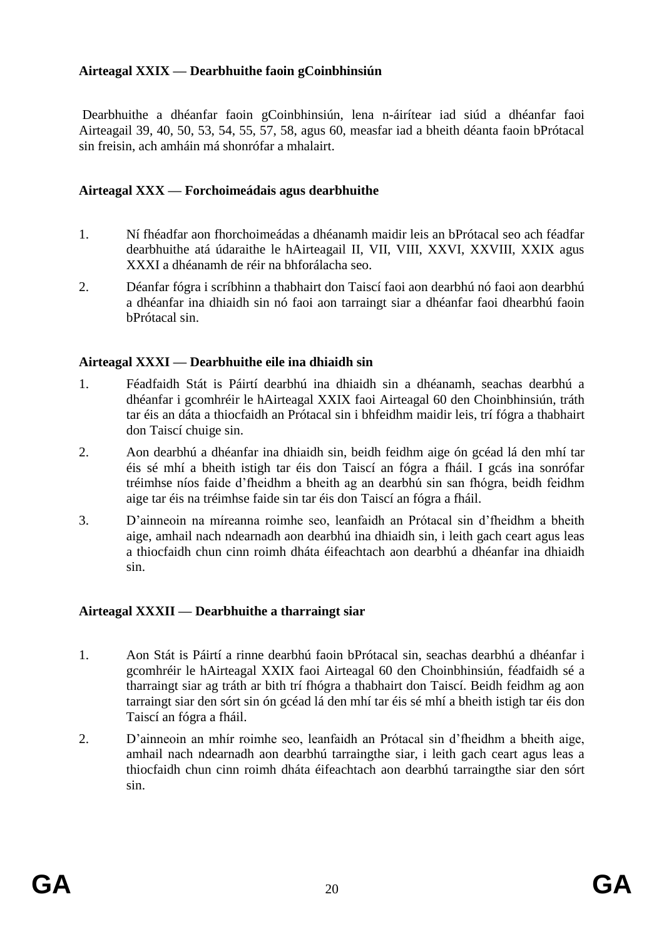## **Airteagal XXIX — Dearbhuithe faoin gCoinbhinsiún**

Dearbhuithe a dhéanfar faoin gCoinbhinsiún, lena n-áirítear iad siúd a dhéanfar faoi Airteagail 39, 40, 50, 53, 54, 55, 57, 58, agus 60, measfar iad a bheith déanta faoin bPrótacal sin freisin, ach amháin má shonrófar a mhalairt.

## **Airteagal XXX — Forchoimeádais agus dearbhuithe**

- 1. Ní fhéadfar aon fhorchoimeádas a dhéanamh maidir leis an bPrótacal seo ach féadfar dearbhuithe atá údaraithe le hAirteagail II, VII, VIII, XXVI, XXVIII, XXIX agus XXXI a dhéanamh de réir na bhforálacha seo.
- 2. Déanfar fógra i scríbhinn a thabhairt don Taiscí faoi aon dearbhú nó faoi aon dearbhú a dhéanfar ina dhiaidh sin nó faoi aon tarraingt siar a dhéanfar faoi dhearbhú faoin bPrótacal sin.

#### **Airteagal XXXI — Dearbhuithe eile ina dhiaidh sin**

- 1. Féadfaidh Stát is Páirtí dearbhú ina dhiaidh sin a dhéanamh, seachas dearbhú a dhéanfar i gcomhréir le hAirteagal XXIX faoi Airteagal 60 den Choinbhinsiún, tráth tar éis an dáta a thiocfaidh an Prótacal sin i bhfeidhm maidir leis, trí fógra a thabhairt don Taiscí chuige sin.
- 2. Aon dearbhú a dhéanfar ina dhiaidh sin, beidh feidhm aige ón gcéad lá den mhí tar éis sé mhí a bheith istigh tar éis don Taiscí an fógra a fháil. I gcás ina sonrófar tréimhse níos faide d'fheidhm a bheith ag an dearbhú sin san fhógra, beidh feidhm aige tar éis na tréimhse faide sin tar éis don Taiscí an fógra a fháil.
- 3. D'ainneoin na míreanna roimhe seo, leanfaidh an Prótacal sin d'fheidhm a bheith aige, amhail nach ndearnadh aon dearbhú ina dhiaidh sin, i leith gach ceart agus leas a thiocfaidh chun cinn roimh dháta éifeachtach aon dearbhú a dhéanfar ina dhiaidh sin.

## **Airteagal XXXII — Dearbhuithe a tharraingt siar**

- 1. Aon Stát is Páirtí a rinne dearbhú faoin bPrótacal sin, seachas dearbhú a dhéanfar i gcomhréir le hAirteagal XXIX faoi Airteagal 60 den Choinbhinsiún, féadfaidh sé a tharraingt siar ag tráth ar bith trí fhógra a thabhairt don Taiscí. Beidh feidhm ag aon tarraingt siar den sórt sin ón gcéad lá den mhí tar éis sé mhí a bheith istigh tar éis don Taiscí an fógra a fháil.
- 2. D'ainneoin an mhír roimhe seo, leanfaidh an Prótacal sin d'fheidhm a bheith aige, amhail nach ndearnadh aon dearbhú tarraingthe siar, i leith gach ceart agus leas a thiocfaidh chun cinn roimh dháta éifeachtach aon dearbhú tarraingthe siar den sórt sin.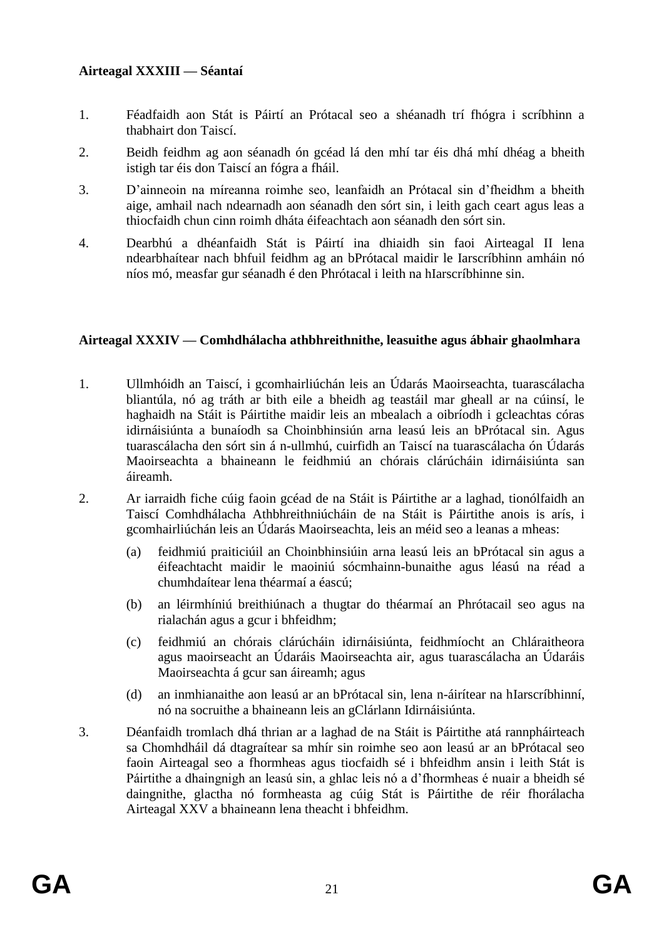## **Airteagal XXXIII — Séantaí**

- 1. Féadfaidh aon Stát is Páirtí an Prótacal seo a shéanadh trí fhógra i scríbhinn a thabhairt don Taiscí.
- 2. Beidh feidhm ag aon séanadh ón gcéad lá den mhí tar éis dhá mhí dhéag a bheith istigh tar éis don Taiscí an fógra a fháil.
- 3. D'ainneoin na míreanna roimhe seo, leanfaidh an Prótacal sin d'fheidhm a bheith aige, amhail nach ndearnadh aon séanadh den sórt sin, i leith gach ceart agus leas a thiocfaidh chun cinn roimh dháta éifeachtach aon séanadh den sórt sin.
- 4. Dearbhú a dhéanfaidh Stát is Páirtí ina dhiaidh sin faoi Airteagal II lena ndearbhaítear nach bhfuil feidhm ag an bPrótacal maidir le Iarscríbhinn amháin nó níos mó, measfar gur séanadh é den Phrótacal i leith na hIarscríbhinne sin.

## **Airteagal XXXIV — Comhdhálacha athbhreithnithe, leasuithe agus ábhair ghaolmhara**

- 1. Ullmhóidh an Taiscí, i gcomhairliúchán leis an Údarás Maoirseachta, tuarascálacha bliantúla, nó ag tráth ar bith eile a bheidh ag teastáil mar gheall ar na cúinsí, le haghaidh na Stáit is Páirtithe maidir leis an mbealach a oibríodh i gcleachtas córas idirnáisiúnta a bunaíodh sa Choinbhinsiún arna leasú leis an bPrótacal sin. Agus tuarascálacha den sórt sin á n-ullmhú, cuirfidh an Taiscí na tuarascálacha ón Údarás Maoirseachta a bhaineann le feidhmiú an chórais clárúcháin idirnáisiúnta san áireamh.
- 2. Ar iarraidh fiche cúig faoin gcéad de na Stáit is Páirtithe ar a laghad, tionólfaidh an Taiscí Comhdhálacha Athbhreithniúcháin de na Stáit is Páirtithe anois is arís, i gcomhairliúchán leis an Údarás Maoirseachta, leis an méid seo a leanas a mheas:
	- (a) feidhmiú praiticiúil an Choinbhinsiúin arna leasú leis an bPrótacal sin agus a éifeachtacht maidir le maoiniú sócmhainn-bunaithe agus léasú na réad a chumhdaítear lena théarmaí a éascú;
	- (b) an léirmhíniú breithiúnach a thugtar do théarmaí an Phrótacail seo agus na rialachán agus a gcur i bhfeidhm;
	- (c) feidhmiú an chórais clárúcháin idirnáisiúnta, feidhmíocht an Chláraitheora agus maoirseacht an Údaráis Maoirseachta air, agus tuarascálacha an Údaráis Maoirseachta á gcur san áireamh; agus
	- (d) an inmhianaithe aon leasú ar an bPrótacal sin, lena n-áirítear na hIarscríbhinní, nó na socruithe a bhaineann leis an gClárlann Idirnáisiúnta.
- 3. Déanfaidh tromlach dhá thrian ar a laghad de na Stáit is Páirtithe atá rannpháirteach sa Chomhdháil dá dtagraítear sa mhír sin roimhe seo aon leasú ar an bPrótacal seo faoin Airteagal seo a fhormheas agus tiocfaidh sé i bhfeidhm ansin i leith Stát is Páirtithe a dhaingnigh an leasú sin, a ghlac leis nó a d'fhormheas é nuair a bheidh sé daingnithe, glactha nó formheasta ag cúig Stát is Páirtithe de réir fhorálacha Airteagal XXV a bhaineann lena theacht i bhfeidhm.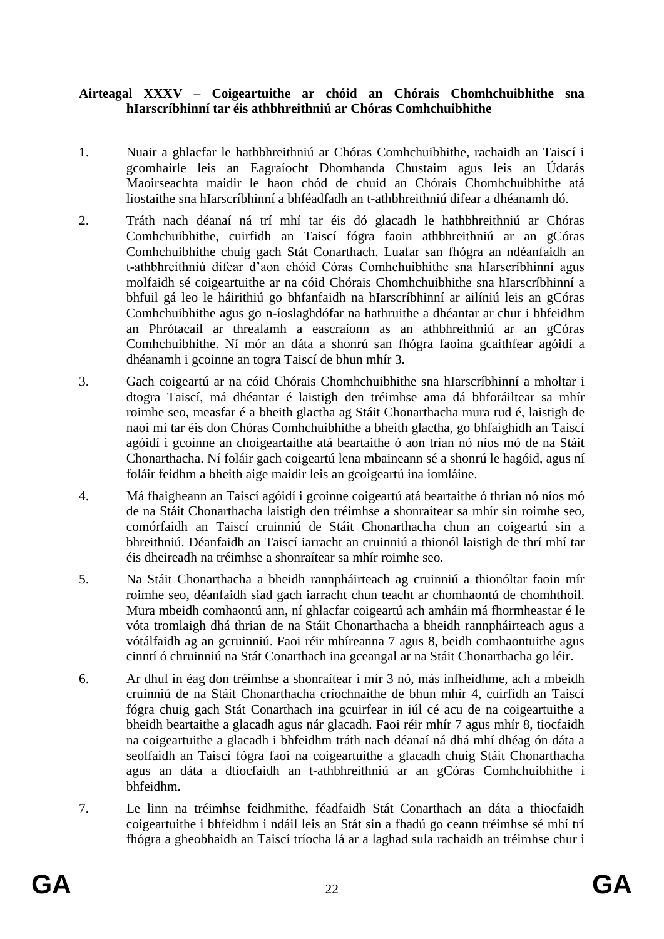#### **Airteagal XXXV – Coigeartuithe ar chóid an Chórais Chomhchuibhithe sna hIarscríbhinní tar éis athbhreithniú ar Chóras Comhchuibhithe**

- 1. Nuair a ghlacfar le hathbhreithniú ar Chóras Comhchuibhithe, rachaidh an Taiscí i gcomhairle leis an Eagraíocht Dhomhanda Chustaim agus leis an Údarás Maoirseachta maidir le haon chód de chuid an Chórais Chomhchuibhithe atá liostaithe sna hIarscríbhinní a bhféadfadh an t-athbhreithniú difear a dhéanamh dó.
- 2. Tráth nach déanaí ná trí mhí tar éis dó glacadh le hathbhreithniú ar Chóras Comhchuibhithe, cuirfidh an Taiscí fógra faoin athbhreithniú ar an gCóras Comhchuibhithe chuig gach Stát Conarthach. Luafar san fhógra an ndéanfaidh an t-athbhreithniú difear d'aon chóid Córas Comhchuibhithe sna hIarscríbhinní agus molfaidh sé coigeartuithe ar na cóid Chórais Chomhchuibhithe sna hIarscríbhinní a bhfuil gá leo le háirithiú go bhfanfaidh na hIarscríbhinní ar ailíniú leis an gCóras Comhchuibhithe agus go n-íoslaghdófar na hathruithe a dhéantar ar chur i bhfeidhm an Phrótacail ar threalamh a eascraíonn as an athbhreithniú ar an gCóras Comhchuibhithe. Ní mór an dáta a shonrú san fhógra faoina gcaithfear agóidí a dhéanamh i gcoinne an togra Taiscí de bhun mhír 3.
- 3. Gach coigeartú ar na cóid Chórais Chomhchuibhithe sna hIarscríbhinní a mholtar i dtogra Taiscí, má dhéantar é laistigh den tréimhse ama dá bhforáiltear sa mhír roimhe seo, measfar é a bheith glactha ag Stáit Chonarthacha mura rud é, laistigh de naoi mí tar éis don Chóras Comhchuibhithe a bheith glactha, go bhfaighidh an Taiscí agóidí i gcoinne an choigeartaithe atá beartaithe ó aon trian nó níos mó de na Stáit Chonarthacha. Ní foláir gach coigeartú lena mbaineann sé a shonrú le hagóid, agus ní foláir feidhm a bheith aige maidir leis an gcoigeartú ina iomláine.
- 4. Má fhaigheann an Taiscí agóidí i gcoinne coigeartú atá beartaithe ó thrian nó níos mó de na Stáit Chonarthacha laistigh den tréimhse a shonraítear sa mhír sin roimhe seo, comórfaidh an Taiscí cruinniú de Stáit Chonarthacha chun an coigeartú sin a bhreithniú. Déanfaidh an Taiscí iarracht an cruinniú a thionól laistigh de thrí mhí tar éis dheireadh na tréimhse a shonraítear sa mhír roimhe seo.
- 5. Na Stáit Chonarthacha a bheidh rannpháirteach ag cruinniú a thionóltar faoin mír roimhe seo, déanfaidh siad gach iarracht chun teacht ar chomhaontú de chomhthoil. Mura mbeidh comhaontú ann, ní ghlacfar coigeartú ach amháin má fhormheastar é le vóta tromlaigh dhá thrian de na Stáit Chonarthacha a bheidh rannpháirteach agus a vótálfaidh ag an gcruinniú. Faoi réir mhíreanna 7 agus 8, beidh comhaontuithe agus cinntí ó chruinniú na Stát Conarthach ina gceangal ar na Stáit Chonarthacha go léir.
- 6. Ar dhul in éag don tréimhse a shonraítear i mír 3 nó, más infheidhme, ach a mbeidh cruinniú de na Stáit Chonarthacha críochnaithe de bhun mhír 4, cuirfidh an Taiscí fógra chuig gach Stát Conarthach ina gcuirfear in iúl cé acu de na coigeartuithe a bheidh beartaithe a glacadh agus nár glacadh. Faoi réir mhír 7 agus mhír 8, tiocfaidh na coigeartuithe a glacadh i bhfeidhm tráth nach déanaí ná dhá mhí dhéag ón dáta a seolfaidh an Taiscí fógra faoi na coigeartuithe a glacadh chuig Stáit Chonarthacha agus an dáta a dtiocfaidh an t-athbhreithniú ar an gCóras Comhchuibhithe i bhfeidhm.
- 7. Le linn na tréimhse feidhmithe, féadfaidh Stát Conarthach an dáta a thiocfaidh coigeartuithe i bhfeidhm i ndáil leis an Stát sin a fhadú go ceann tréimhse sé mhí trí fhógra a gheobhaidh an Taiscí tríocha lá ar a laghad sula rachaidh an tréimhse chur i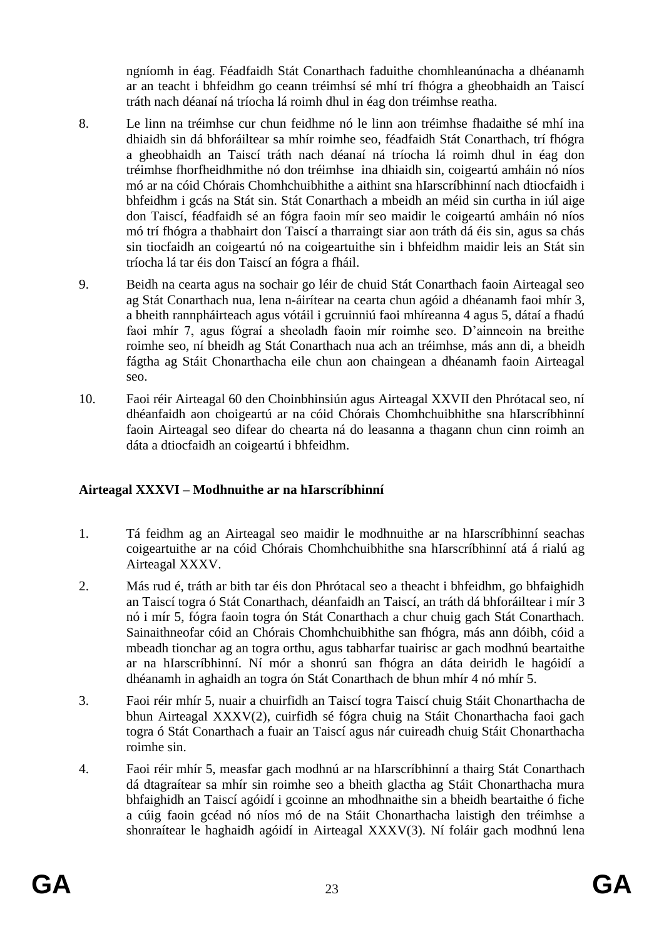ngníomh in éag. Féadfaidh Stát Conarthach faduithe chomhleanúnacha a dhéanamh ar an teacht i bhfeidhm go ceann tréimhsí sé mhí trí fhógra a gheobhaidh an Taiscí tráth nach déanaí ná tríocha lá roimh dhul in éag don tréimhse reatha.

- 8. Le linn na tréimhse cur chun feidhme nó le linn aon tréimhse fhadaithe sé mhí ina dhiaidh sin dá bhforáiltear sa mhír roimhe seo, féadfaidh Stát Conarthach, trí fhógra a gheobhaidh an Taiscí tráth nach déanaí ná tríocha lá roimh dhul in éag don tréimhse fhorfheidhmithe nó don tréimhse ina dhiaidh sin, coigeartú amháin nó níos mó ar na cóid Chórais Chomhchuibhithe a aithint sna hIarscríbhinní nach dtiocfaidh i bhfeidhm i gcás na Stát sin. Stát Conarthach a mbeidh an méid sin curtha in iúl aige don Taiscí, féadfaidh sé an fógra faoin mír seo maidir le coigeartú amháin nó níos mó trí fhógra a thabhairt don Taiscí a tharraingt siar aon tráth dá éis sin, agus sa chás sin tiocfaidh an coigeartú nó na coigeartuithe sin i bhfeidhm maidir leis an Stát sin tríocha lá tar éis don Taiscí an fógra a fháil.
- 9. Beidh na cearta agus na sochair go léir de chuid Stát Conarthach faoin Airteagal seo ag Stát Conarthach nua, lena n-áirítear na cearta chun agóid a dhéanamh faoi mhír 3, a bheith rannpháirteach agus vótáil i gcruinniú faoi mhíreanna 4 agus 5, dátaí a fhadú faoi mhír 7, agus fógraí a sheoladh faoin mír roimhe seo. D'ainneoin na breithe roimhe seo, ní bheidh ag Stát Conarthach nua ach an tréimhse, más ann di, a bheidh fágtha ag Stáit Chonarthacha eile chun aon chaingean a dhéanamh faoin Airteagal seo.
- 10. Faoi réir Airteagal 60 den Choinbhinsiún agus Airteagal XXVII den Phrótacal seo, ní dhéanfaidh aon choigeartú ar na cóid Chórais Chomhchuibhithe sna hIarscríbhinní faoin Airteagal seo difear do chearta ná do leasanna a thagann chun cinn roimh an dáta a dtiocfaidh an coigeartú i bhfeidhm.

# **Airteagal XXXVI – Modhnuithe ar na hIarscríbhinní**

- 1. Tá feidhm ag an Airteagal seo maidir le modhnuithe ar na hIarscríbhinní seachas coigeartuithe ar na cóid Chórais Chomhchuibhithe sna hIarscríbhinní atá á rialú ag Airteagal XXXV.
- 2. Más rud é, tráth ar bith tar éis don Phrótacal seo a theacht i bhfeidhm, go bhfaighidh an Taiscí togra ó Stát Conarthach, déanfaidh an Taiscí, an tráth dá bhforáiltear i mír 3 nó i mír 5, fógra faoin togra ón Stát Conarthach a chur chuig gach Stát Conarthach. Sainaithneofar cóid an Chórais Chomhchuibhithe san fhógra, más ann dóibh, cóid a mbeadh tionchar ag an togra orthu, agus tabharfar tuairisc ar gach modhnú beartaithe ar na hIarscríbhinní. Ní mór a shonrú san fhógra an dáta deiridh le hagóidí a dhéanamh in aghaidh an togra ón Stát Conarthach de bhun mhír 4 nó mhír 5.
- 3. Faoi réir mhír 5, nuair a chuirfidh an Taiscí togra Taiscí chuig Stáit Chonarthacha de bhun Airteagal XXXV(2), cuirfidh sé fógra chuig na Stáit Chonarthacha faoi gach togra ó Stát Conarthach a fuair an Taiscí agus nár cuireadh chuig Stáit Chonarthacha roimhe sin.
- 4. Faoi réir mhír 5, measfar gach modhnú ar na hIarscríbhinní a thairg Stát Conarthach dá dtagraítear sa mhír sin roimhe seo a bheith glactha ag Stáit Chonarthacha mura bhfaighidh an Taiscí agóidí i gcoinne an mhodhnaithe sin a bheidh beartaithe ó fiche a cúig faoin gcéad nó níos mó de na Stáit Chonarthacha laistigh den tréimhse a shonraítear le haghaidh agóidí in Airteagal XXXV(3). Ní foláir gach modhnú lena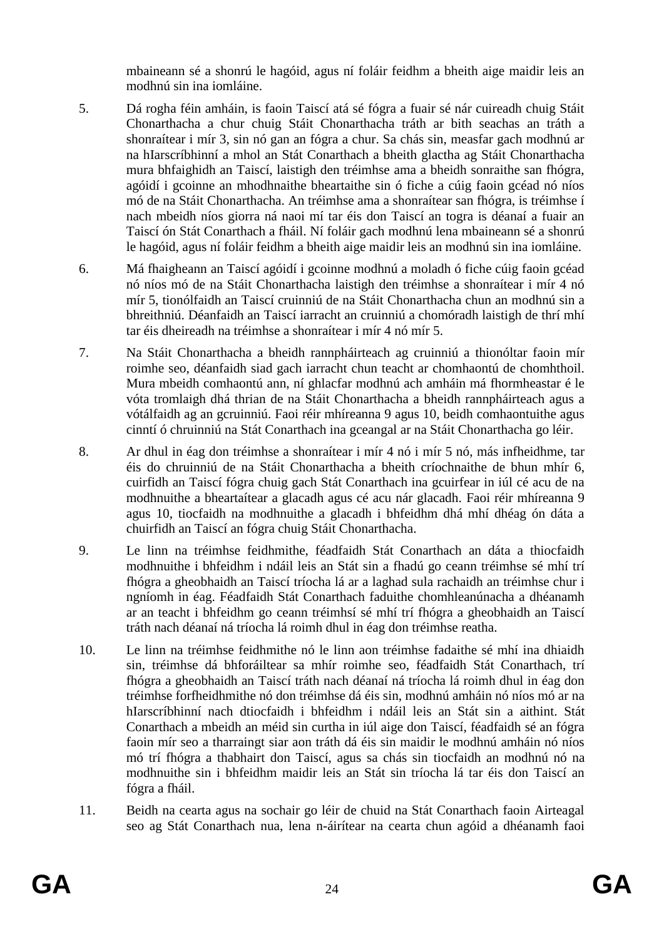mbaineann sé a shonrú le hagóid, agus ní foláir feidhm a bheith aige maidir leis an modhnú sin ina iomláine.

- 5. Dá rogha féin amháin, is faoin Taiscí atá sé fógra a fuair sé nár cuireadh chuig Stáit Chonarthacha a chur chuig Stáit Chonarthacha tráth ar bith seachas an tráth a shonraítear i mír 3, sin nó gan an fógra a chur. Sa chás sin, measfar gach modhnú ar na hIarscríbhinní a mhol an Stát Conarthach a bheith glactha ag Stáit Chonarthacha mura bhfaighidh an Taiscí, laistigh den tréimhse ama a bheidh sonraithe san fhógra, agóidí i gcoinne an mhodhnaithe bheartaithe sin ó fiche a cúig faoin gcéad nó níos mó de na Stáit Chonarthacha. An tréimhse ama a shonraítear san fhógra, is tréimhse í nach mbeidh níos giorra ná naoi mí tar éis don Taiscí an togra is déanaí a fuair an Taiscí ón Stát Conarthach a fháil. Ní foláir gach modhnú lena mbaineann sé a shonrú le hagóid, agus ní foláir feidhm a bheith aige maidir leis an modhnú sin ina iomláine.
- 6. Má fhaigheann an Taiscí agóidí i gcoinne modhnú a moladh ó fiche cúig faoin gcéad nó níos mó de na Stáit Chonarthacha laistigh den tréimhse a shonraítear i mír 4 nó mír 5, tionólfaidh an Taiscí cruinniú de na Stáit Chonarthacha chun an modhnú sin a bhreithniú. Déanfaidh an Taiscí iarracht an cruinniú a chomóradh laistigh de thrí mhí tar éis dheireadh na tréimhse a shonraítear i mír 4 nó mír 5.
- 7. Na Stáit Chonarthacha a bheidh rannpháirteach ag cruinniú a thionóltar faoin mír roimhe seo, déanfaidh siad gach iarracht chun teacht ar chomhaontú de chomhthoil. Mura mbeidh comhaontú ann, ní ghlacfar modhnú ach amháin má fhormheastar é le vóta tromlaigh dhá thrian de na Stáit Chonarthacha a bheidh rannpháirteach agus a vótálfaidh ag an gcruinniú. Faoi réir mhíreanna 9 agus 10, beidh comhaontuithe agus cinntí ó chruinniú na Stát Conarthach ina gceangal ar na Stáit Chonarthacha go léir.
- 8. Ar dhul in éag don tréimhse a shonraítear i mír 4 nó i mír 5 nó, más infheidhme, tar éis do chruinniú de na Stáit Chonarthacha a bheith críochnaithe de bhun mhír 6, cuirfidh an Taiscí fógra chuig gach Stát Conarthach ina gcuirfear in iúl cé acu de na modhnuithe a bheartaítear a glacadh agus cé acu nár glacadh. Faoi réir mhíreanna 9 agus 10, tiocfaidh na modhnuithe a glacadh i bhfeidhm dhá mhí dhéag ón dáta a chuirfidh an Taiscí an fógra chuig Stáit Chonarthacha.
- 9. Le linn na tréimhse feidhmithe, féadfaidh Stát Conarthach an dáta a thiocfaidh modhnuithe i bhfeidhm i ndáil leis an Stát sin a fhadú go ceann tréimhse sé mhí trí fhógra a gheobhaidh an Taiscí tríocha lá ar a laghad sula rachaidh an tréimhse chur i ngníomh in éag. Féadfaidh Stát Conarthach faduithe chomhleanúnacha a dhéanamh ar an teacht i bhfeidhm go ceann tréimhsí sé mhí trí fhógra a gheobhaidh an Taiscí tráth nach déanaí ná tríocha lá roimh dhul in éag don tréimhse reatha.
- 10. Le linn na tréimhse feidhmithe nó le linn aon tréimhse fadaithe sé mhí ina dhiaidh sin, tréimhse dá bhforáiltear sa mhír roimhe seo, féadfaidh Stát Conarthach, trí fhógra a gheobhaidh an Taiscí tráth nach déanaí ná tríocha lá roimh dhul in éag don tréimhse forfheidhmithe nó don tréimhse dá éis sin, modhnú amháin nó níos mó ar na hIarscríbhinní nach dtiocfaidh i bhfeidhm i ndáil leis an Stát sin a aithint. Stát Conarthach a mbeidh an méid sin curtha in iúl aige don Taiscí, féadfaidh sé an fógra faoin mír seo a tharraingt siar aon tráth dá éis sin maidir le modhnú amháin nó níos mó trí fhógra a thabhairt don Taiscí, agus sa chás sin tiocfaidh an modhnú nó na modhnuithe sin i bhfeidhm maidir leis an Stát sin tríocha lá tar éis don Taiscí an fógra a fháil.
- 11. Beidh na cearta agus na sochair go léir de chuid na Stát Conarthach faoin Airteagal seo ag Stát Conarthach nua, lena n-áirítear na cearta chun agóid a dhéanamh faoi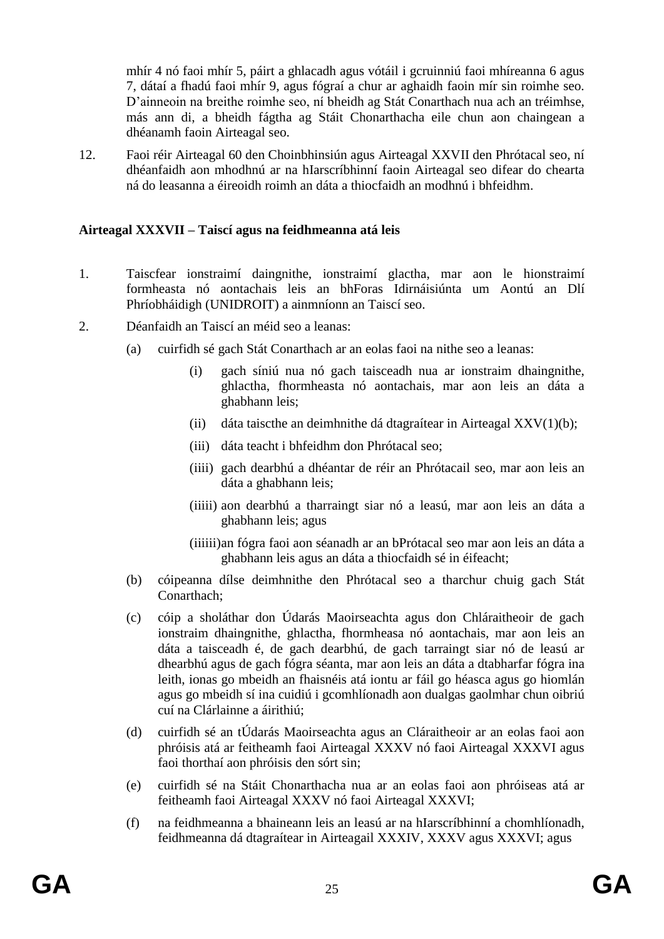mhír 4 nó faoi mhír 5, páirt a ghlacadh agus vótáil i gcruinniú faoi mhíreanna 6 agus 7, dátaí a fhadú faoi mhír 9, agus fógraí a chur ar aghaidh faoin mír sin roimhe seo. D'ainneoin na breithe roimhe seo, ní bheidh ag Stát Conarthach nua ach an tréimhse, más ann di, a bheidh fágtha ag Stáit Chonarthacha eile chun aon chaingean a dhéanamh faoin Airteagal seo.

12. Faoi réir Airteagal 60 den Choinbhinsiún agus Airteagal XXVII den Phrótacal seo, ní dhéanfaidh aon mhodhnú ar na hIarscríbhinní faoin Airteagal seo difear do chearta ná do leasanna a éireoidh roimh an dáta a thiocfaidh an modhnú i bhfeidhm.

### **Airteagal XXXVII – Taiscí agus na feidhmeanna atá leis**

- 1. Taiscfear ionstraimí daingnithe, ionstraimí glactha, mar aon le hionstraimí formheasta nó aontachais leis an bhForas Idirnáisiúnta um Aontú an Dlí Phríobháidigh (UNIDROIT) a ainmníonn an Taiscí seo.
- 2. Déanfaidh an Taiscí an méid seo a leanas:
	- (a) cuirfidh sé gach Stát Conarthach ar an eolas faoi na nithe seo a leanas:
		- (i) gach síniú nua nó gach taisceadh nua ar ionstraim dhaingnithe, ghlactha, fhormheasta nó aontachais, mar aon leis an dáta a ghabhann leis;
		- (ii) dáta taiscthe an deimhnithe dá dtagraítear in Airteagal XXV(1)(b);
		- (iii) dáta teacht i bhfeidhm don Phrótacal seo;
		- (iiii) gach dearbhú a dhéantar de réir an Phrótacail seo, mar aon leis an dáta a ghabhann leis;
		- (iiiii) aon dearbhú a tharraingt siar nó a leasú, mar aon leis an dáta a ghabhann leis; agus
		- (iiiiii)an fógra faoi aon séanadh ar an bPrótacal seo mar aon leis an dáta a ghabhann leis agus an dáta a thiocfaidh sé in éifeacht;
	- (b) cóipeanna dílse deimhnithe den Phrótacal seo a tharchur chuig gach Stát Conarthach;
	- (c) cóip a sholáthar don Údarás Maoirseachta agus don Chláraitheoir de gach ionstraim dhaingnithe, ghlactha, fhormheasa nó aontachais, mar aon leis an dáta a taisceadh é, de gach dearbhú, de gach tarraingt siar nó de leasú ar dhearbhú agus de gach fógra séanta, mar aon leis an dáta a dtabharfar fógra ina leith, ionas go mbeidh an fhaisnéis atá iontu ar fáil go héasca agus go hiomlán agus go mbeidh sí ina cuidiú i gcomhlíonadh aon dualgas gaolmhar chun oibriú cuí na Clárlainne a áirithiú;
	- (d) cuirfidh sé an tÚdarás Maoirseachta agus an Cláraitheoir ar an eolas faoi aon phróisis atá ar feitheamh faoi Airteagal XXXV nó faoi Airteagal XXXVI agus faoi thorthaí aon phróisis den sórt sin;
	- (e) cuirfidh sé na Stáit Chonarthacha nua ar an eolas faoi aon phróiseas atá ar feitheamh faoi Airteagal XXXV nó faoi Airteagal XXXVI;
	- (f) na feidhmeanna a bhaineann leis an leasú ar na hIarscríbhinní a chomhlíonadh, feidhmeanna dá dtagraítear in Airteagail XXXIV, XXXV agus XXXVI; agus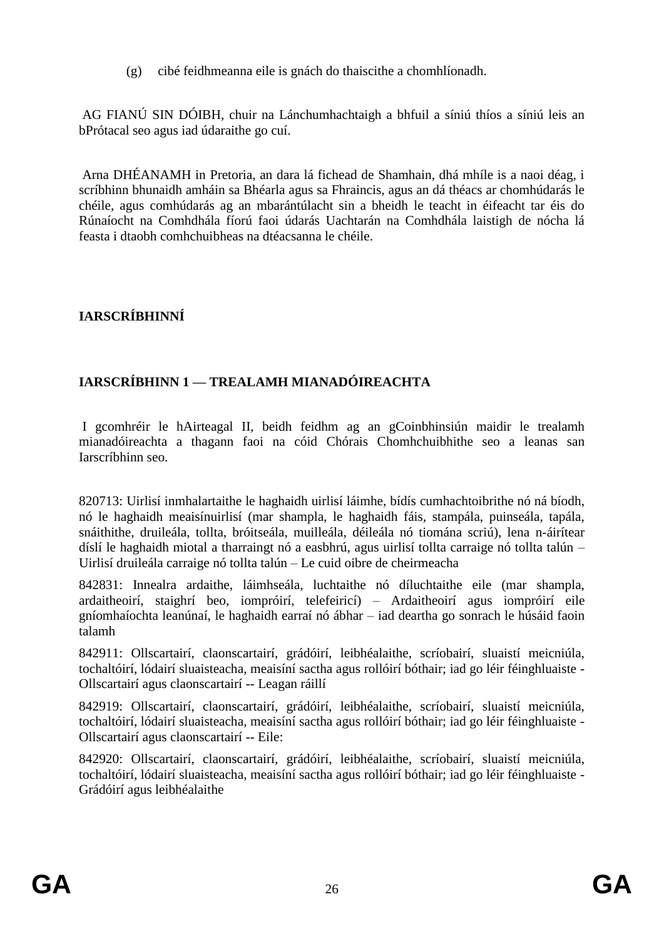(g) cibé feidhmeanna eile is gnách do thaiscithe a chomhlíonadh.

AG FIANÚ SIN DÓIBH, chuir na Lánchumhachtaigh a bhfuil a síniú thíos a síniú leis an bPrótacal seo agus iad údaraithe go cuí.

Arna DHÉANAMH in Pretoria, an dara lá fichead de Shamhain, dhá mhíle is a naoi déag, i scríbhinn bhunaidh amháin sa Bhéarla agus sa Fhraincis, agus an dá théacs ar chomhúdarás le chéile, agus comhúdarás ag an mbarántúlacht sin a bheidh le teacht in éifeacht tar éis do Rúnaíocht na Comhdhála fíorú faoi údarás Uachtarán na Comhdhála laistigh de nócha lá feasta i dtaobh comhchuibheas na dtéacsanna le chéile.

# **IARSCRÍBHINNÍ**

# **IARSCRÍBHINN 1 — TREALAMH MIANADÓIREACHTA**

I gcomhréir le hAirteagal II, beidh feidhm ag an gCoinbhinsiún maidir le trealamh mianadóireachta a thagann faoi na cóid Chórais Chomhchuibhithe seo a leanas san Iarscríbhinn seo.

820713: Uirlisí inmhalartaithe le haghaidh uirlisí láimhe, bídís cumhachtoibrithe nó ná bíodh, nó le haghaidh meaisínuirlisí (mar shampla, le haghaidh fáis, stampála, puinseála, tapála, snáithithe, druileála, tollta, bróitseála, muilleála, déileála nó tiomána scriú), lena n-áirítear díslí le haghaidh miotal a tharraingt nó a easbhrú, agus uirlisí tollta carraige nó tollta talún – Uirlisí druileála carraige nó tollta talún – Le cuid oibre de cheirmeacha

842831: Innealra ardaithe, láimhseála, luchtaithe nó díluchtaithe eile (mar shampla, ardaitheoirí, staighrí beo, iompróirí, telefeiricí) – Ardaitheoirí agus iompróirí eile gníomhaíochta leanúnaí, le haghaidh earraí nó ábhar – iad deartha go sonrach le húsáid faoin talamh

842911: Ollscartairí, claonscartairí, grádóirí, leibhéalaithe, scríobairí, sluaistí meicniúla, tochaltóirí, lódairí sluaisteacha, meaisíní sactha agus rollóirí bóthair; iad go léir féinghluaiste - Ollscartairí agus claonscartairí -- Leagan ráillí

842919: Ollscartairí, claonscartairí, grádóirí, leibhéalaithe, scríobairí, sluaistí meicniúla, tochaltóirí, lódairí sluaisteacha, meaisíní sactha agus rollóirí bóthair; iad go léir féinghluaiste - Ollscartairí agus claonscartairí -- Eile:

842920: Ollscartairí, claonscartairí, grádóirí, leibhéalaithe, scríobairí, sluaistí meicniúla, tochaltóirí, lódairí sluaisteacha, meaisíní sactha agus rollóirí bóthair; iad go léir féinghluaiste - Grádóirí agus leibhéalaithe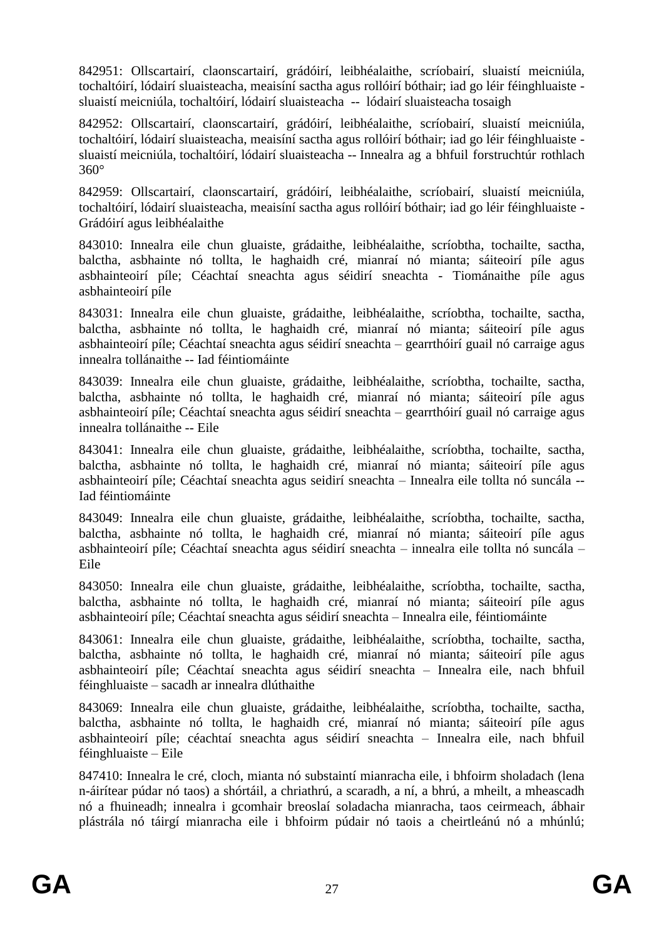842951: Ollscartairí, claonscartairí, grádóirí, leibhéalaithe, scríobairí, sluaistí meicniúla, tochaltóirí, lódairí sluaisteacha, meaisíní sactha agus rollóirí bóthair; iad go léir féinghluaiste sluaistí meicniúla, tochaltóirí, lódairí sluaisteacha -- lódairí sluaisteacha tosaigh

842952: Ollscartairí, claonscartairí, grádóirí, leibhéalaithe, scríobairí, sluaistí meicniúla, tochaltóirí, lódairí sluaisteacha, meaisíní sactha agus rollóirí bóthair; iad go léir féinghluaiste sluaistí meicniúla, tochaltóirí, lódairí sluaisteacha -- Innealra ag a bhfuil forstruchtúr rothlach 360°

842959: Ollscartairí, claonscartairí, grádóirí, leibhéalaithe, scríobairí, sluaistí meicniúla, tochaltóirí, lódairí sluaisteacha, meaisíní sactha agus rollóirí bóthair; iad go léir féinghluaiste - Grádóirí agus leibhéalaithe

843010: Innealra eile chun gluaiste, grádaithe, leibhéalaithe, scríobtha, tochailte, sactha, balctha, asbhainte nó tollta, le haghaidh cré, mianraí nó mianta; sáiteoirí píle agus asbhainteoirí píle; Céachtaí sneachta agus séidirí sneachta - Tiománaithe píle agus asbhainteoirí píle

843031: Innealra eile chun gluaiste, grádaithe, leibhéalaithe, scríobtha, tochailte, sactha, balctha, asbhainte nó tollta, le haghaidh cré, mianraí nó mianta; sáiteoirí píle agus asbhainteoirí píle; Céachtaí sneachta agus séidirí sneachta – gearrthóirí guail nó carraige agus innealra tollánaithe -- Iad féintiomáinte

843039: Innealra eile chun gluaiste, grádaithe, leibhéalaithe, scríobtha, tochailte, sactha, balctha, asbhainte nó tollta, le haghaidh cré, mianraí nó mianta; sáiteoirí píle agus asbhainteoirí píle; Céachtaí sneachta agus séidirí sneachta – gearrthóirí guail nó carraige agus innealra tollánaithe -- Eile

843041: Innealra eile chun gluaiste, grádaithe, leibhéalaithe, scríobtha, tochailte, sactha, balctha, asbhainte nó tollta, le haghaidh cré, mianraí nó mianta; sáiteoirí píle agus asbhainteoirí píle; Céachtaí sneachta agus seidirí sneachta – Innealra eile tollta nó suncála -- Iad féintiomáinte

843049: Innealra eile chun gluaiste, grádaithe, leibhéalaithe, scríobtha, tochailte, sactha, balctha, asbhainte nó tollta, le haghaidh cré, mianraí nó mianta; sáiteoirí píle agus asbhainteoirí píle; Céachtaí sneachta agus séidirí sneachta – innealra eile tollta nó suncála – Eile

843050: Innealra eile chun gluaiste, grádaithe, leibhéalaithe, scríobtha, tochailte, sactha, balctha, asbhainte nó tollta, le haghaidh cré, mianraí nó mianta; sáiteoirí píle agus asbhainteoirí píle; Céachtaí sneachta agus séidirí sneachta – Innealra eile, féintiomáinte

843061: Innealra eile chun gluaiste, grádaithe, leibhéalaithe, scríobtha, tochailte, sactha, balctha, asbhainte nó tollta, le haghaidh cré, mianraí nó mianta; sáiteoirí píle agus asbhainteoirí píle; Céachtaí sneachta agus séidirí sneachta – Innealra eile, nach bhfuil féinghluaiste – sacadh ar innealra dlúthaithe

843069: Innealra eile chun gluaiste, grádaithe, leibhéalaithe, scríobtha, tochailte, sactha, balctha, asbhainte nó tollta, le haghaidh cré, mianraí nó mianta; sáiteoirí píle agus asbhainteoirí píle; céachtaí sneachta agus séidirí sneachta – Innealra eile, nach bhfuil féinghluaiste – Eile

847410: Innealra le cré, cloch, mianta nó substaintí mianracha eile, i bhfoirm sholadach (lena n-áirítear púdar nó taos) a shórtáil, a chriathrú, a scaradh, a ní, a bhrú, a mheilt, a mheascadh nó a fhuineadh; innealra i gcomhair breoslaí soladacha mianracha, taos ceirmeach, ábhair plástrála nó táirgí mianracha eile i bhfoirm púdair nó taois a cheirtleánú nó a mhúnlú;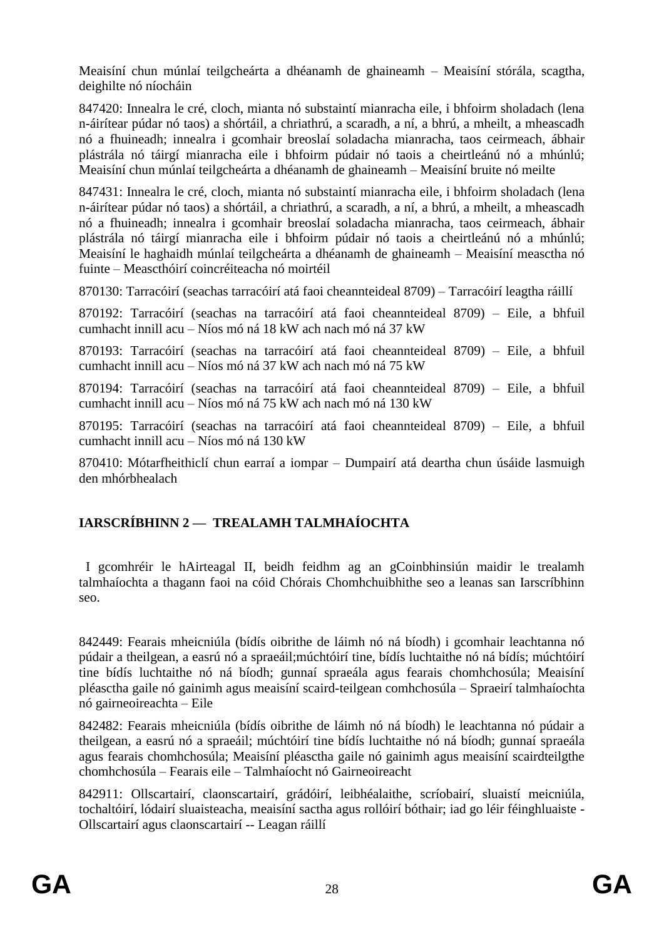Meaisíní chun múnlaí teilgcheárta a dhéanamh de ghaineamh – Meaisíní stórála, scagtha, deighilte nó níocháin

847420: Innealra le cré, cloch, mianta nó substaintí mianracha eile, i bhfoirm sholadach (lena n-áirítear púdar nó taos) a shórtáil, a chriathrú, a scaradh, a ní, a bhrú, a mheilt, a mheascadh nó a fhuineadh; innealra i gcomhair breoslaí soladacha mianracha, taos ceirmeach, ábhair plástrála nó táirgí mianracha eile i bhfoirm púdair nó taois a cheirtleánú nó a mhúnlú; Meaisíní chun múnlaí teilgcheárta a dhéanamh de ghaineamh – Meaisíní bruite nó meilte

847431: Innealra le cré, cloch, mianta nó substaintí mianracha eile, i bhfoirm sholadach (lena n-áirítear púdar nó taos) a shórtáil, a chriathrú, a scaradh, a ní, a bhrú, a mheilt, a mheascadh nó a fhuineadh; innealra i gcomhair breoslaí soladacha mianracha, taos ceirmeach, ábhair plástrála nó táirgí mianracha eile i bhfoirm púdair nó taois a cheirtleánú nó a mhúnlú; Meaisíní le haghaidh múnlaí teilgcheárta a dhéanamh de ghaineamh – Meaisíní measctha nó fuinte – Meascthóirí coincréiteacha nó moirtéil

870130: Tarracóirí (seachas tarracóirí atá faoi cheannteideal 8709) – Tarracóirí leagtha ráillí

870192: Tarracóirí (seachas na tarracóirí atá faoi cheannteideal 8709) – Eile, a bhfuil cumhacht innill acu – Níos mó ná 18 kW ach nach mó ná 37 kW

870193: Tarracóirí (seachas na tarracóirí atá faoi cheannteideal 8709) – Eile, a bhfuil cumhacht innill acu – Níos mó ná 37 kW ach nach mó ná 75 kW

870194: Tarracóirí (seachas na tarracóirí atá faoi cheannteideal 8709) – Eile, a bhfuil cumhacht innill acu – Níos mó ná 75 kW ach nach mó ná 130 kW

870195: Tarracóirí (seachas na tarracóirí atá faoi cheannteideal 8709) – Eile, a bhfuil cumhacht innill acu – Níos mó ná 130 kW

870410: Mótarfheithiclí chun earraí a iompar – Dumpairí atá deartha chun úsáide lasmuigh den mhórbhealach

# **IARSCRÍBHINN 2 — TREALAMH TALMHAÍOCHTA**

 I gcomhréir le hAirteagal II, beidh feidhm ag an gCoinbhinsiún maidir le trealamh talmhaíochta a thagann faoi na cóid Chórais Chomhchuibhithe seo a leanas san Iarscríbhinn seo.

842449: Fearais mheicniúla (bídís oibrithe de láimh nó ná bíodh) i gcomhair leachtanna nó púdair a theilgean, a easrú nó a spraeáil;múchtóirí tine, bídís luchtaithe nó ná bídís; múchtóirí tine bídís luchtaithe nó ná bíodh; gunnaí spraeála agus fearais chomhchosúla; Meaisíní pléasctha gaile nó gainimh agus meaisíní scaird-teilgean comhchosúla – Spraeirí talmhaíochta nó gairneoireachta – Eile

842482: Fearais mheicniúla (bídís oibrithe de láimh nó ná bíodh) le leachtanna nó púdair a theilgean, a easrú nó a spraeáil; múchtóirí tine bídís luchtaithe nó ná bíodh; gunnaí spraeála agus fearais chomhchosúla; Meaisíní pléasctha gaile nó gainimh agus meaisíní scairdteilgthe chomhchosúla – Fearais eile – Talmhaíocht nó Gairneoireacht

842911: Ollscartairí, claonscartairí, grádóirí, leibhéalaithe, scríobairí, sluaistí meicniúla, tochaltóirí, lódairí sluaisteacha, meaisíní sactha agus rollóirí bóthair; iad go léir féinghluaiste - Ollscartairí agus claonscartairí -- Leagan ráillí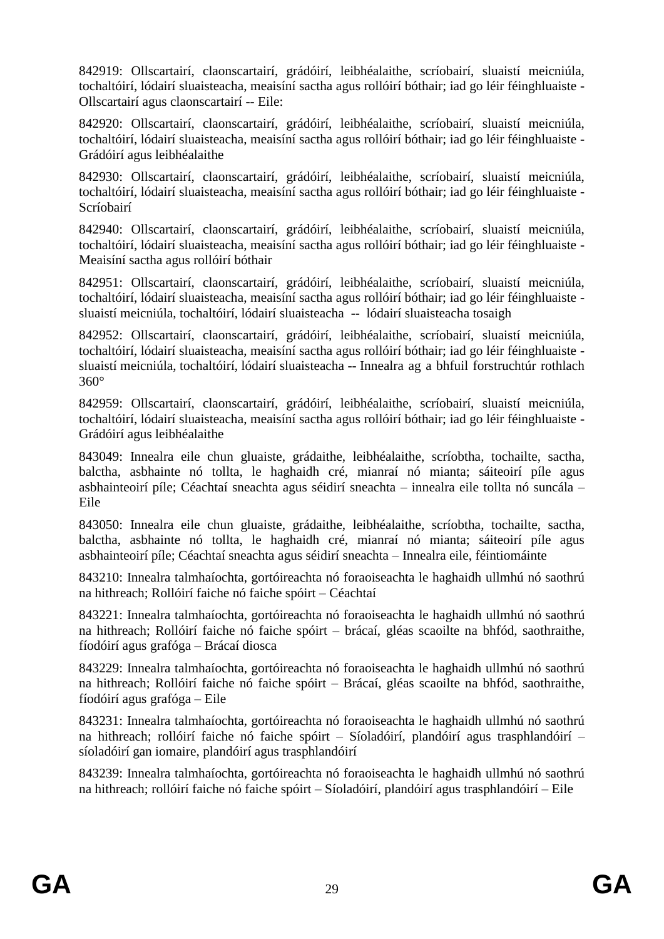842919: Ollscartairí, claonscartairí, grádóirí, leibhéalaithe, scríobairí, sluaistí meicniúla, tochaltóirí, lódairí sluaisteacha, meaisíní sactha agus rollóirí bóthair; iad go léir féinghluaiste - Ollscartairí agus claonscartairí -- Eile:

842920: Ollscartairí, claonscartairí, grádóirí, leibhéalaithe, scríobairí, sluaistí meicniúla, tochaltóirí, lódairí sluaisteacha, meaisíní sactha agus rollóirí bóthair; iad go léir féinghluaiste - Grádóirí agus leibhéalaithe

842930: Ollscartairí, claonscartairí, grádóirí, leibhéalaithe, scríobairí, sluaistí meicniúla, tochaltóirí, lódairí sluaisteacha, meaisíní sactha agus rollóirí bóthair; iad go léir féinghluaiste - Scríobairí

842940: Ollscartairí, claonscartairí, grádóirí, leibhéalaithe, scríobairí, sluaistí meicniúla, tochaltóirí, lódairí sluaisteacha, meaisíní sactha agus rollóirí bóthair; iad go léir féinghluaiste - Meaisíní sactha agus rollóirí bóthair

842951: Ollscartairí, claonscartairí, grádóirí, leibhéalaithe, scríobairí, sluaistí meicniúla, tochaltóirí, lódairí sluaisteacha, meaisíní sactha agus rollóirí bóthair; iad go léir féinghluaiste sluaistí meicniúla, tochaltóirí, lódairí sluaisteacha -- lódairí sluaisteacha tosaigh

842952: Ollscartairí, claonscartairí, grádóirí, leibhéalaithe, scríobairí, sluaistí meicniúla, tochaltóirí, lódairí sluaisteacha, meaisíní sactha agus rollóirí bóthair; iad go léir féinghluaiste sluaistí meicniúla, tochaltóirí, lódairí sluaisteacha -- Innealra ag a bhfuil forstruchtúr rothlach 360°

842959: Ollscartairí, claonscartairí, grádóirí, leibhéalaithe, scríobairí, sluaistí meicniúla, tochaltóirí, lódairí sluaisteacha, meaisíní sactha agus rollóirí bóthair; iad go léir féinghluaiste - Grádóirí agus leibhéalaithe

843049: Innealra eile chun gluaiste, grádaithe, leibhéalaithe, scríobtha, tochailte, sactha, balctha, asbhainte nó tollta, le haghaidh cré, mianraí nó mianta; sáiteoirí píle agus asbhainteoirí píle; Céachtaí sneachta agus séidirí sneachta – innealra eile tollta nó suncála – Eile

843050: Innealra eile chun gluaiste, grádaithe, leibhéalaithe, scríobtha, tochailte, sactha, balctha, asbhainte nó tollta, le haghaidh cré, mianraí nó mianta; sáiteoirí píle agus asbhainteoirí píle; Céachtaí sneachta agus séidirí sneachta – Innealra eile, féintiomáinte

843210: Innealra talmhaíochta, gortóireachta nó foraoiseachta le haghaidh ullmhú nó saothrú na hithreach; Rollóirí faiche nó faiche spóirt – Céachtaí

843221: Innealra talmhaíochta, gortóireachta nó foraoiseachta le haghaidh ullmhú nó saothrú na hithreach; Rollóirí faiche nó faiche spóirt – brácaí, gléas scaoilte na bhfód, saothraithe, fíodóirí agus grafóga – Brácaí diosca

843229: Innealra talmhaíochta, gortóireachta nó foraoiseachta le haghaidh ullmhú nó saothrú na hithreach; Rollóirí faiche nó faiche spóirt – Brácaí, gléas scaoilte na bhfód, saothraithe, fíodóirí agus grafóga – Eile

843231: Innealra talmhaíochta, gortóireachta nó foraoiseachta le haghaidh ullmhú nó saothrú na hithreach; rollóirí faiche nó faiche spóirt – Síoladóirí, plandóirí agus trasphlandóirí – síoladóirí gan iomaire, plandóirí agus trasphlandóirí

843239: Innealra talmhaíochta, gortóireachta nó foraoiseachta le haghaidh ullmhú nó saothrú na hithreach; rollóirí faiche nó faiche spóirt – Síoladóirí, plandóirí agus trasphlandóirí – Eile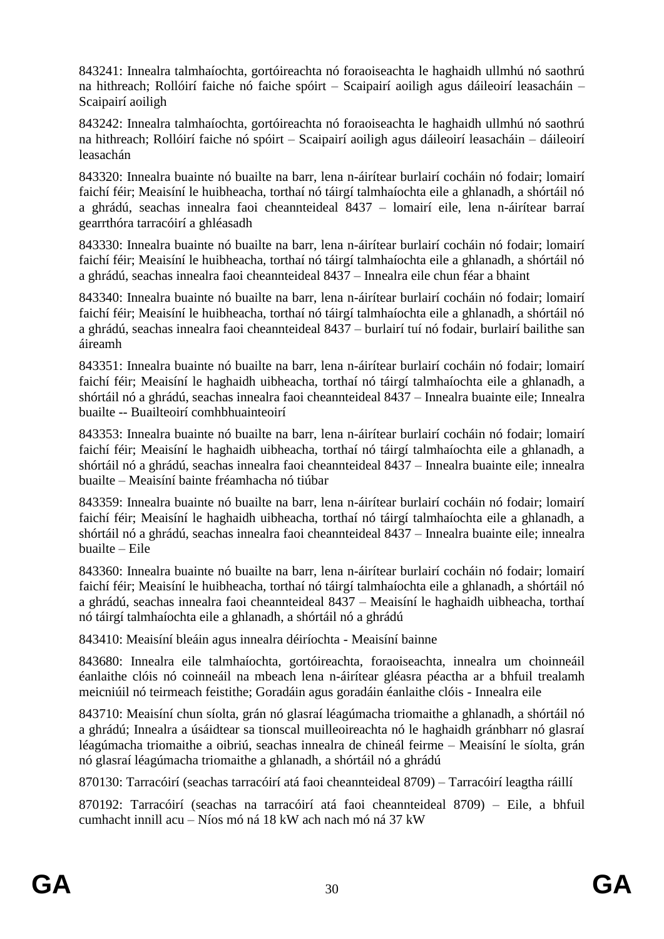843241: Innealra talmhaíochta, gortóireachta nó foraoiseachta le haghaidh ullmhú nó saothrú na hithreach; Rollóirí faiche nó faiche spóirt – Scaipairí aoiligh agus dáileoirí leasacháin – Scaipairí aoiligh

843242: Innealra talmhaíochta, gortóireachta nó foraoiseachta le haghaidh ullmhú nó saothrú na hithreach; Rollóirí faiche nó spóirt – Scaipairí aoiligh agus dáileoirí leasacháin – dáileoirí leasachán

843320: Innealra buainte nó buailte na barr, lena n-áirítear burlairí cocháin nó fodair; lomairí faichí féir; Meaisíní le huibheacha, torthaí nó táirgí talmhaíochta eile a ghlanadh, a shórtáil nó a ghrádú, seachas innealra faoi cheannteideal 8437 – lomairí eile, lena n-áirítear barraí gearrthóra tarracóirí a ghléasadh

843330: Innealra buainte nó buailte na barr, lena n-áirítear burlairí cocháin nó fodair; lomairí faichí féir; Meaisíní le huibheacha, torthaí nó táirgí talmhaíochta eile a ghlanadh, a shórtáil nó a ghrádú, seachas innealra faoi cheannteideal 8437 – Innealra eile chun féar a bhaint

843340: Innealra buainte nó buailte na barr, lena n-áirítear burlairí cocháin nó fodair; lomairí faichí féir; Meaisíní le huibheacha, torthaí nó táirgí talmhaíochta eile a ghlanadh, a shórtáil nó a ghrádú, seachas innealra faoi cheannteideal 8437 – burlairí tuí nó fodair, burlairí bailithe san áireamh

843351: Innealra buainte nó buailte na barr, lena n-áirítear burlairí cocháin nó fodair; lomairí faichí féir; Meaisíní le haghaidh uibheacha, torthaí nó táirgí talmhaíochta eile a ghlanadh, a shórtáil nó a ghrádú, seachas innealra faoi cheannteideal 8437 – Innealra buainte eile; Innealra buailte -- Buailteoirí comhbhuainteoirí

843353: Innealra buainte nó buailte na barr, lena n-áirítear burlairí cocháin nó fodair; lomairí faichí féir; Meaisíní le haghaidh uibheacha, torthaí nó táirgí talmhaíochta eile a ghlanadh, a shórtáil nó a ghrádú, seachas innealra faoi cheannteideal 8437 – Innealra buainte eile; innealra buailte – Meaisíní bainte fréamhacha nó tiúbar

843359: Innealra buainte nó buailte na barr, lena n-áirítear burlairí cocháin nó fodair; lomairí faichí féir; Meaisíní le haghaidh uibheacha, torthaí nó táirgí talmhaíochta eile a ghlanadh, a shórtáil nó a ghrádú, seachas innealra faoi cheannteideal 8437 – Innealra buainte eile; innealra buailte – Eile

843360: Innealra buainte nó buailte na barr, lena n-áirítear burlairí cocháin nó fodair; lomairí faichí féir; Meaisíní le huibheacha, torthaí nó táirgí talmhaíochta eile a ghlanadh, a shórtáil nó a ghrádú, seachas innealra faoi cheannteideal 8437 – Meaisíní le haghaidh uibheacha, torthaí nó táirgí talmhaíochta eile a ghlanadh, a shórtáil nó a ghrádú

843410: Meaisíní bleáin agus innealra déiríochta - Meaisíní bainne

843680: Innealra eile talmhaíochta, gortóireachta, foraoiseachta, innealra um choinneáil éanlaithe clóis nó coinneáil na mbeach lena n-áirítear gléasra péactha ar a bhfuil trealamh meicniúil nó teirmeach feistithe; Goradáin agus goradáin éanlaithe clóis - Innealra eile

843710: Meaisíní chun síolta, grán nó glasraí léagúmacha triomaithe a ghlanadh, a shórtáil nó a ghrádú; Innealra a úsáidtear sa tionscal muilleoireachta nó le haghaidh gránbharr nó glasraí léagúmacha triomaithe a oibriú, seachas innealra de chineál feirme – Meaisíní le síolta, grán nó glasraí léagúmacha triomaithe a ghlanadh, a shórtáil nó a ghrádú

870130: Tarracóirí (seachas tarracóirí atá faoi cheannteideal 8709) – Tarracóirí leagtha ráillí

870192: Tarracóirí (seachas na tarracóirí atá faoi cheannteideal 8709) – Eile, a bhfuil cumhacht innill acu – Níos mó ná 18 kW ach nach mó ná 37 kW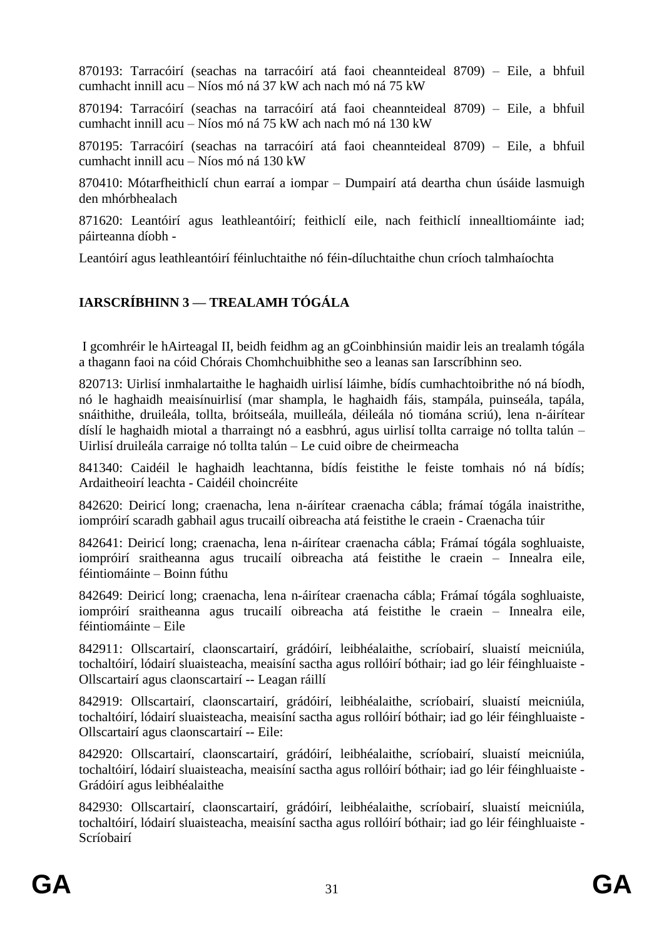870193: Tarracóirí (seachas na tarracóirí atá faoi cheannteideal 8709) – Eile, a bhfuil cumhacht innill acu – Níos mó ná 37 kW ach nach mó ná 75 kW

870194: Tarracóirí (seachas na tarracóirí atá faoi cheannteideal 8709) – Eile, a bhfuil cumhacht innill acu – Níos mó ná 75 kW ach nach mó ná 130 kW

870195: Tarracóirí (seachas na tarracóirí atá faoi cheannteideal 8709) – Eile, a bhfuil cumhacht innill acu – Níos mó ná 130 kW

870410: Mótarfheithiclí chun earraí a iompar – Dumpairí atá deartha chun úsáide lasmuigh den mhórbhealach

871620: Leantóirí agus leathleantóirí; feithiclí eile, nach feithiclí innealltiomáinte iad; páirteanna díobh -

Leantóirí agus leathleantóirí féinluchtaithe nó féin-díluchtaithe chun críoch talmhaíochta

# **IARSCRÍBHINN 3 — TREALAMH TÓGÁLA**

I gcomhréir le hAirteagal II, beidh feidhm ag an gCoinbhinsiún maidir leis an trealamh tógála a thagann faoi na cóid Chórais Chomhchuibhithe seo a leanas san Iarscríbhinn seo.

820713: Uirlisí inmhalartaithe le haghaidh uirlisí láimhe, bídís cumhachtoibrithe nó ná bíodh, nó le haghaidh meaisínuirlisí (mar shampla, le haghaidh fáis, stampála, puinseála, tapála, snáithithe, druileála, tollta, bróitseála, muilleála, déileála nó tiomána scriú), lena n-áirítear díslí le haghaidh miotal a tharraingt nó a easbhrú, agus uirlisí tollta carraige nó tollta talún – Uirlisí druileála carraige nó tollta talún – Le cuid oibre de cheirmeacha

841340: Caidéil le haghaidh leachtanna, bídís feistithe le feiste tomhais nó ná bídís; Ardaitheoirí leachta - Caidéil choincréite

842620: Deiricí long; craenacha, lena n-áirítear craenacha cábla; frámaí tógála inaistrithe, iompróirí scaradh gabhail agus trucailí oibreacha atá feistithe le craein - Craenacha túir

842641: Deiricí long; craenacha, lena n-áirítear craenacha cábla; Frámaí tógála soghluaiste, iompróirí sraitheanna agus trucailí oibreacha atá feistithe le craein – Innealra eile, féintiomáinte – Boinn fúthu

842649: Deiricí long; craenacha, lena n-áirítear craenacha cábla; Frámaí tógála soghluaiste, iompróirí sraitheanna agus trucailí oibreacha atá feistithe le craein – Innealra eile, féintiomáinte – Eile

842911: Ollscartairí, claonscartairí, grádóirí, leibhéalaithe, scríobairí, sluaistí meicniúla, tochaltóirí, lódairí sluaisteacha, meaisíní sactha agus rollóirí bóthair; iad go léir féinghluaiste - Ollscartairí agus claonscartairí -- Leagan ráillí

842919: Ollscartairí, claonscartairí, grádóirí, leibhéalaithe, scríobairí, sluaistí meicniúla, tochaltóirí, lódairí sluaisteacha, meaisíní sactha agus rollóirí bóthair; iad go léir féinghluaiste - Ollscartairí agus claonscartairí -- Eile:

842920: Ollscartairí, claonscartairí, grádóirí, leibhéalaithe, scríobairí, sluaistí meicniúla, tochaltóirí, lódairí sluaisteacha, meaisíní sactha agus rollóirí bóthair; iad go léir féinghluaiste - Grádóirí agus leibhéalaithe

842930: Ollscartairí, claonscartairí, grádóirí, leibhéalaithe, scríobairí, sluaistí meicniúla, tochaltóirí, lódairí sluaisteacha, meaisíní sactha agus rollóirí bóthair; iad go léir féinghluaiste - Scríobairí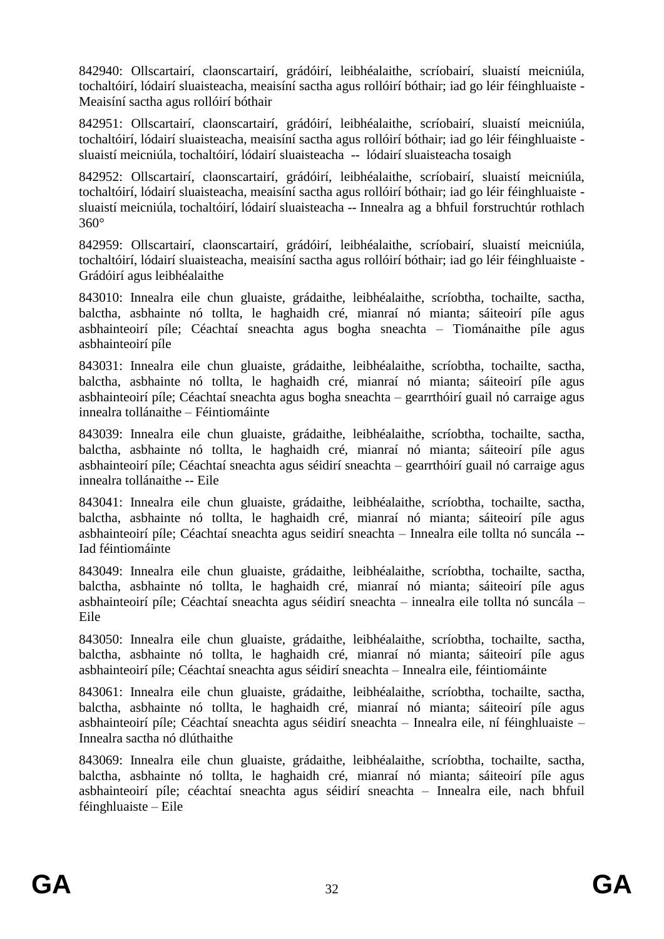842940: Ollscartairí, claonscartairí, grádóirí, leibhéalaithe, scríobairí, sluaistí meicniúla, tochaltóirí, lódairí sluaisteacha, meaisíní sactha agus rollóirí bóthair; iad go léir féinghluaiste - Meaisíní sactha agus rollóirí bóthair

842951: Ollscartairí, claonscartairí, grádóirí, leibhéalaithe, scríobairí, sluaistí meicniúla, tochaltóirí, lódairí sluaisteacha, meaisíní sactha agus rollóirí bóthair; iad go léir féinghluaiste sluaistí meicniúla, tochaltóirí, lódairí sluaisteacha -- lódairí sluaisteacha tosaigh

842952: Ollscartairí, claonscartairí, grádóirí, leibhéalaithe, scríobairí, sluaistí meicniúla, tochaltóirí, lódairí sluaisteacha, meaisíní sactha agus rollóirí bóthair; iad go léir féinghluaiste sluaistí meicniúla, tochaltóirí, lódairí sluaisteacha -- Innealra ag a bhfuil forstruchtúr rothlach 360°

842959: Ollscartairí, claonscartairí, grádóirí, leibhéalaithe, scríobairí, sluaistí meicniúla, tochaltóirí, lódairí sluaisteacha, meaisíní sactha agus rollóirí bóthair; iad go léir féinghluaiste - Grádóirí agus leibhéalaithe

843010: Innealra eile chun gluaiste, grádaithe, leibhéalaithe, scríobtha, tochailte, sactha, balctha, asbhainte nó tollta, le haghaidh cré, mianraí nó mianta; sáiteoirí píle agus asbhainteoirí píle; Céachtaí sneachta agus bogha sneachta – Tiománaithe píle agus asbhainteoirí píle

843031: Innealra eile chun gluaiste, grádaithe, leibhéalaithe, scríobtha, tochailte, sactha, balctha, asbhainte nó tollta, le haghaidh cré, mianraí nó mianta; sáiteoirí píle agus asbhainteoirí píle; Céachtaí sneachta agus bogha sneachta – gearrthóirí guail nó carraige agus innealra tollánaithe – Féintiomáinte

843039: Innealra eile chun gluaiste, grádaithe, leibhéalaithe, scríobtha, tochailte, sactha, balctha, asbhainte nó tollta, le haghaidh cré, mianraí nó mianta; sáiteoirí píle agus asbhainteoirí píle; Céachtaí sneachta agus séidirí sneachta – gearrthóirí guail nó carraige agus innealra tollánaithe -- Eile

843041: Innealra eile chun gluaiste, grádaithe, leibhéalaithe, scríobtha, tochailte, sactha, balctha, asbhainte nó tollta, le haghaidh cré, mianraí nó mianta; sáiteoirí píle agus asbhainteoirí píle; Céachtaí sneachta agus seidirí sneachta – Innealra eile tollta nó suncála -- Iad féintiomáinte

843049: Innealra eile chun gluaiste, grádaithe, leibhéalaithe, scríobtha, tochailte, sactha, balctha, asbhainte nó tollta, le haghaidh cré, mianraí nó mianta; sáiteoirí píle agus asbhainteoirí píle; Céachtaí sneachta agus séidirí sneachta – innealra eile tollta nó suncála – Eile

843050: Innealra eile chun gluaiste, grádaithe, leibhéalaithe, scríobtha, tochailte, sactha, balctha, asbhainte nó tollta, le haghaidh cré, mianraí nó mianta; sáiteoirí píle agus asbhainteoirí píle; Céachtaí sneachta agus séidirí sneachta – Innealra eile, féintiomáinte

843061: Innealra eile chun gluaiste, grádaithe, leibhéalaithe, scríobtha, tochailte, sactha, balctha, asbhainte nó tollta, le haghaidh cré, mianraí nó mianta; sáiteoirí píle agus asbhainteoirí píle; Céachtaí sneachta agus séidirí sneachta – Innealra eile, ní féinghluaiste – Innealra sactha nó dlúthaithe

843069: Innealra eile chun gluaiste, grádaithe, leibhéalaithe, scríobtha, tochailte, sactha, balctha, asbhainte nó tollta, le haghaidh cré, mianraí nó mianta; sáiteoirí píle agus asbhainteoirí píle; céachtaí sneachta agus séidirí sneachta – Innealra eile, nach bhfuil féinghluaiste – Eile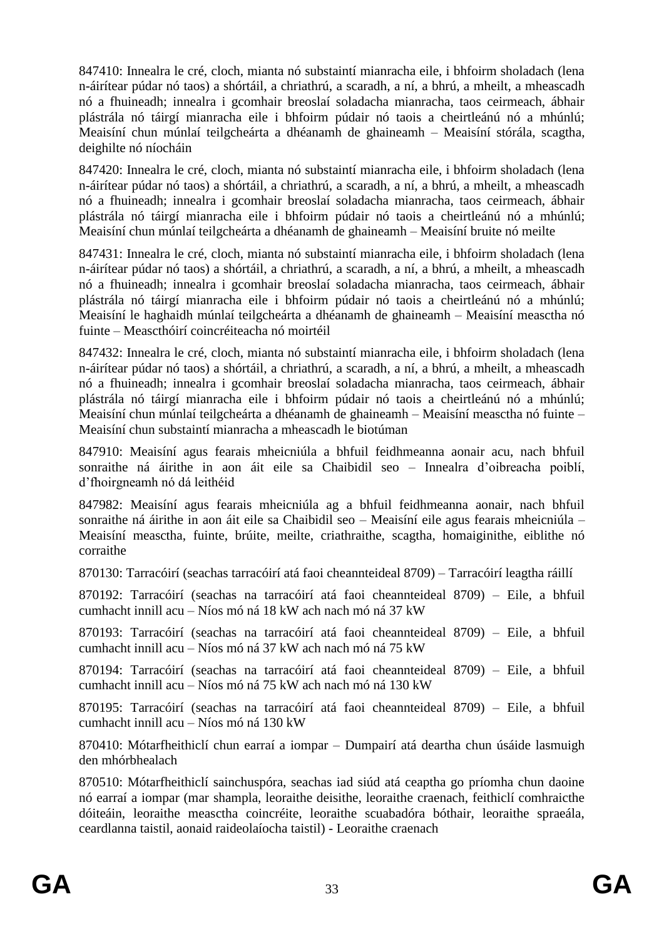847410: Innealra le cré, cloch, mianta nó substaintí mianracha eile, i bhfoirm sholadach (lena n-áirítear púdar nó taos) a shórtáil, a chriathrú, a scaradh, a ní, a bhrú, a mheilt, a mheascadh nó a fhuineadh; innealra i gcomhair breoslaí soladacha mianracha, taos ceirmeach, ábhair plástrála nó táirgí mianracha eile i bhfoirm púdair nó taois a cheirtleánú nó a mhúnlú; Meaisíní chun múnlaí teilgcheárta a dhéanamh de ghaineamh – Meaisíní stórála, scagtha, deighilte nó níocháin

847420: Innealra le cré, cloch, mianta nó substaintí mianracha eile, i bhfoirm sholadach (lena n-áirítear púdar nó taos) a shórtáil, a chriathrú, a scaradh, a ní, a bhrú, a mheilt, a mheascadh nó a fhuineadh; innealra i gcomhair breoslaí soladacha mianracha, taos ceirmeach, ábhair plástrála nó táirgí mianracha eile i bhfoirm púdair nó taois a cheirtleánú nó a mhúnlú; Meaisíní chun múnlaí teilgcheárta a dhéanamh de ghaineamh – Meaisíní bruite nó meilte

847431: Innealra le cré, cloch, mianta nó substaintí mianracha eile, i bhfoirm sholadach (lena n-áirítear púdar nó taos) a shórtáil, a chriathrú, a scaradh, a ní, a bhrú, a mheilt, a mheascadh nó a fhuineadh; innealra i gcomhair breoslaí soladacha mianracha, taos ceirmeach, ábhair plástrála nó táirgí mianracha eile i bhfoirm púdair nó taois a cheirtleánú nó a mhúnlú; Meaisíní le haghaidh múnlaí teilgcheárta a dhéanamh de ghaineamh – Meaisíní measctha nó fuinte – Meascthóirí coincréiteacha nó moirtéil

847432: Innealra le cré, cloch, mianta nó substaintí mianracha eile, i bhfoirm sholadach (lena n-áirítear púdar nó taos) a shórtáil, a chriathrú, a scaradh, a ní, a bhrú, a mheilt, a mheascadh nó a fhuineadh; innealra i gcomhair breoslaí soladacha mianracha, taos ceirmeach, ábhair plástrála nó táirgí mianracha eile i bhfoirm púdair nó taois a cheirtleánú nó a mhúnlú; Meaisíní chun múnlaí teilgcheárta a dhéanamh de ghaineamh – Meaisíní measctha nó fuinte – Meaisíní chun substaintí mianracha a mheascadh le biotúman

847910: Meaisíní agus fearais mheicniúla a bhfuil feidhmeanna aonair acu, nach bhfuil sonraithe ná áirithe in aon áit eile sa Chaibidil seo – Innealra d'oibreacha poiblí, d'fhoirgneamh nó dá leithéid

847982: Meaisíní agus fearais mheicniúla ag a bhfuil feidhmeanna aonair, nach bhfuil sonraithe ná áirithe in aon áit eile sa Chaibidil seo – Meaisíní eile agus fearais mheicniúla – Meaisíní measctha, fuinte, brúite, meilte, criathraithe, scagtha, homaiginithe, eiblithe nó corraithe

870130: Tarracóirí (seachas tarracóirí atá faoi cheannteideal 8709) – Tarracóirí leagtha ráillí

870192: Tarracóirí (seachas na tarracóirí atá faoi cheannteideal 8709) – Eile, a bhfuil cumhacht innill acu – Níos mó ná 18 kW ach nach mó ná 37 kW

870193: Tarracóirí (seachas na tarracóirí atá faoi cheannteideal 8709) – Eile, a bhfuil cumhacht innill acu – Níos mó ná 37 kW ach nach mó ná 75 kW

870194: Tarracóirí (seachas na tarracóirí atá faoi cheannteideal 8709) – Eile, a bhfuil cumhacht innill acu – Níos mó ná 75 kW ach nach mó ná 130 kW

870195: Tarracóirí (seachas na tarracóirí atá faoi cheannteideal 8709) – Eile, a bhfuil cumhacht innill acu – Níos mó ná 130 kW

870410: Mótarfheithiclí chun earraí a iompar – Dumpairí atá deartha chun úsáide lasmuigh den mhórbhealach

870510: Mótarfheithiclí sainchuspóra, seachas iad siúd atá ceaptha go príomha chun daoine nó earraí a iompar (mar shampla, leoraithe deisithe, leoraithe craenach, feithiclí comhraicthe dóiteáin, leoraithe measctha coincréite, leoraithe scuabadóra bóthair, leoraithe spraeála, ceardlanna taistil, aonaid raideolaíocha taistil) - Leoraithe craenach